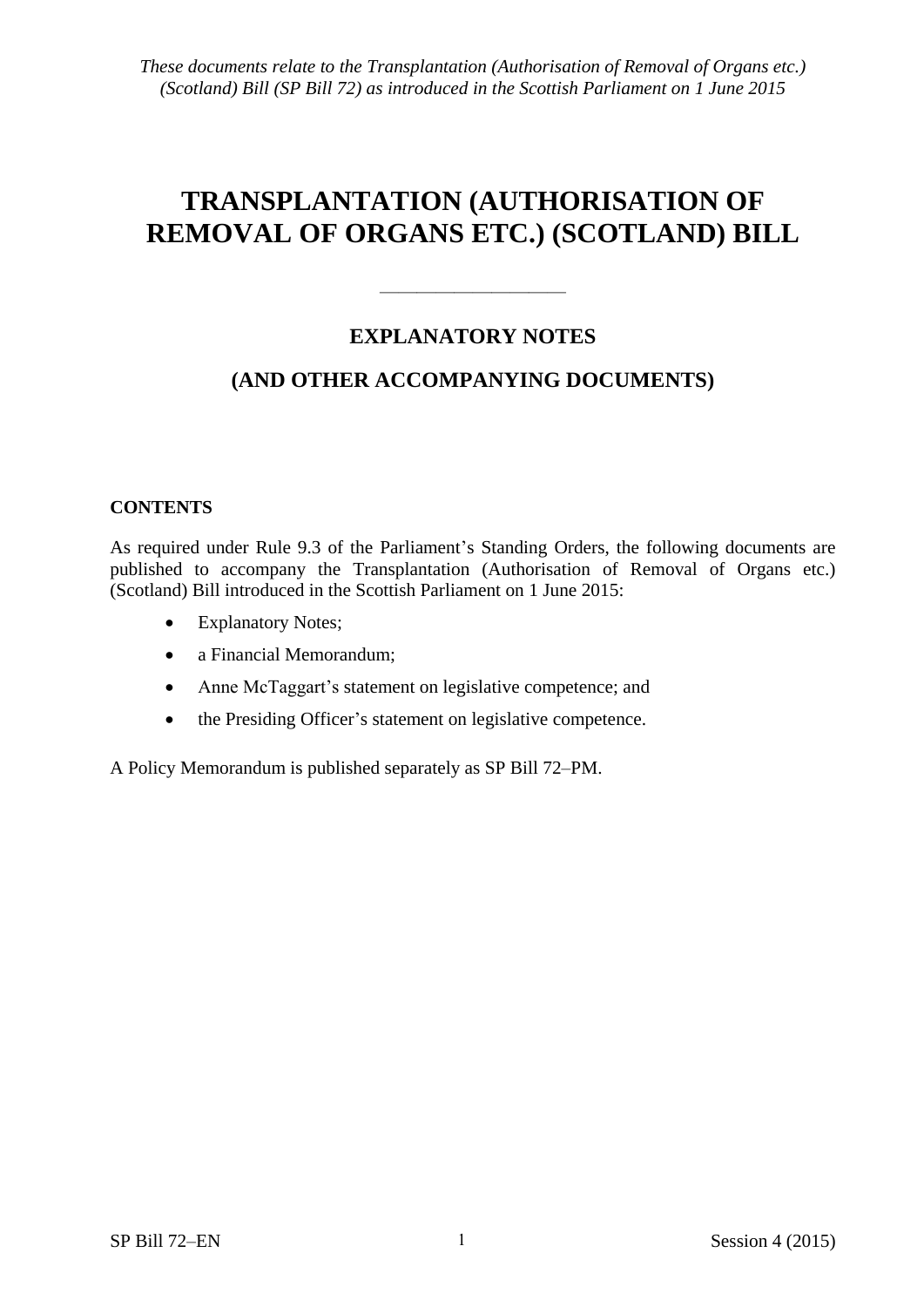# **TRANSPLANTATION (AUTHORISATION OF REMOVAL OF ORGANS ETC.) (SCOTLAND) BILL**

# **EXPLANATORY NOTES**

——————————

# **(AND OTHER ACCOMPANYING DOCUMENTS)**

## **CONTENTS**

As required under Rule 9.3 of the Parliament's Standing Orders, the following documents are published to accompany the Transplantation (Authorisation of Removal of Organs etc.) (Scotland) Bill introduced in the Scottish Parliament on 1 June 2015:

- Explanatory Notes;
- a Financial Memorandum;
- Anne McTaggart's statement on legislative competence; and
- the Presiding Officer's statement on legislative competence.

A Policy Memorandum is published separately as SP Bill 72–PM.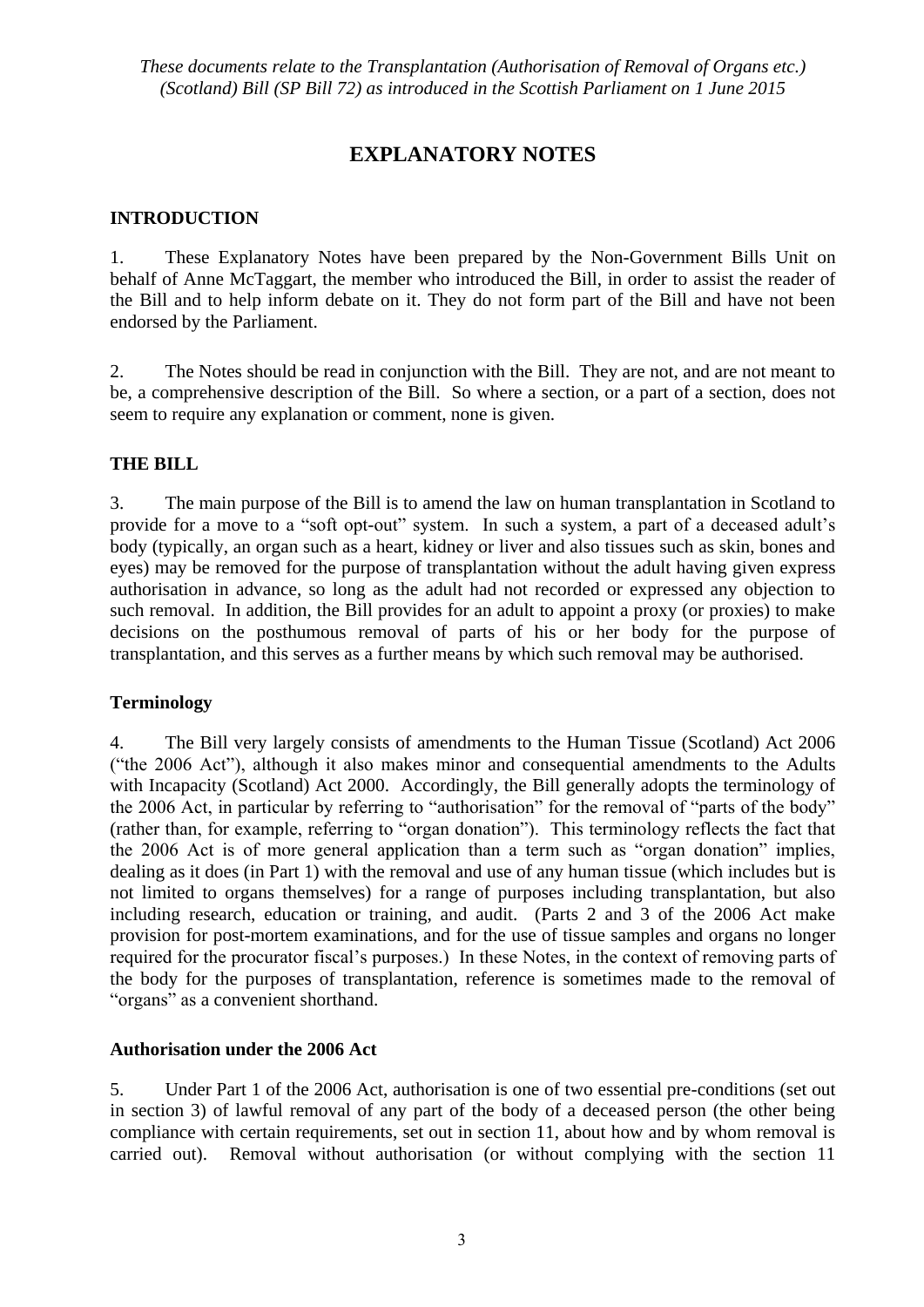# **EXPLANATORY NOTES**

#### **INTRODUCTION**

1. These Explanatory Notes have been prepared by the Non-Government Bills Unit on behalf of Anne McTaggart, the member who introduced the Bill, in order to assist the reader of the Bill and to help inform debate on it. They do not form part of the Bill and have not been endorsed by the Parliament.

2. The Notes should be read in conjunction with the Bill. They are not, and are not meant to be, a comprehensive description of the Bill. So where a section, or a part of a section, does not seem to require any explanation or comment, none is given.

#### **THE BILL**

3. The main purpose of the Bill is to amend the law on human transplantation in Scotland to provide for a move to a "soft opt-out" system. In such a system, a part of a deceased adult's body (typically, an organ such as a heart, kidney or liver and also tissues such as skin, bones and eyes) may be removed for the purpose of transplantation without the adult having given express authorisation in advance, so long as the adult had not recorded or expressed any objection to such removal. In addition, the Bill provides for an adult to appoint a proxy (or proxies) to make decisions on the posthumous removal of parts of his or her body for the purpose of transplantation, and this serves as a further means by which such removal may be authorised.

#### **Terminology**

4. The Bill very largely consists of amendments to the Human Tissue (Scotland) Act 2006 ("the 2006 Act"), although it also makes minor and consequential amendments to the Adults with Incapacity (Scotland) Act 2000. Accordingly, the Bill generally adopts the terminology of the 2006 Act, in particular by referring to "authorisation" for the removal of "parts of the body" (rather than, for example, referring to "organ donation"). This terminology reflects the fact that the 2006 Act is of more general application than a term such as "organ donation" implies, dealing as it does (in Part 1) with the removal and use of any human tissue (which includes but is not limited to organs themselves) for a range of purposes including transplantation, but also including research, education or training, and audit. (Parts 2 and 3 of the 2006 Act make provision for post-mortem examinations, and for the use of tissue samples and organs no longer required for the procurator fiscal's purposes.) In these Notes, in the context of removing parts of the body for the purposes of transplantation, reference is sometimes made to the removal of "organs" as a convenient shorthand.

#### **Authorisation under the 2006 Act**

5. Under Part 1 of the 2006 Act, authorisation is one of two essential pre-conditions (set out in section 3) of lawful removal of any part of the body of a deceased person (the other being compliance with certain requirements, set out in section 11, about how and by whom removal is carried out). Removal without authorisation (or without complying with the section 11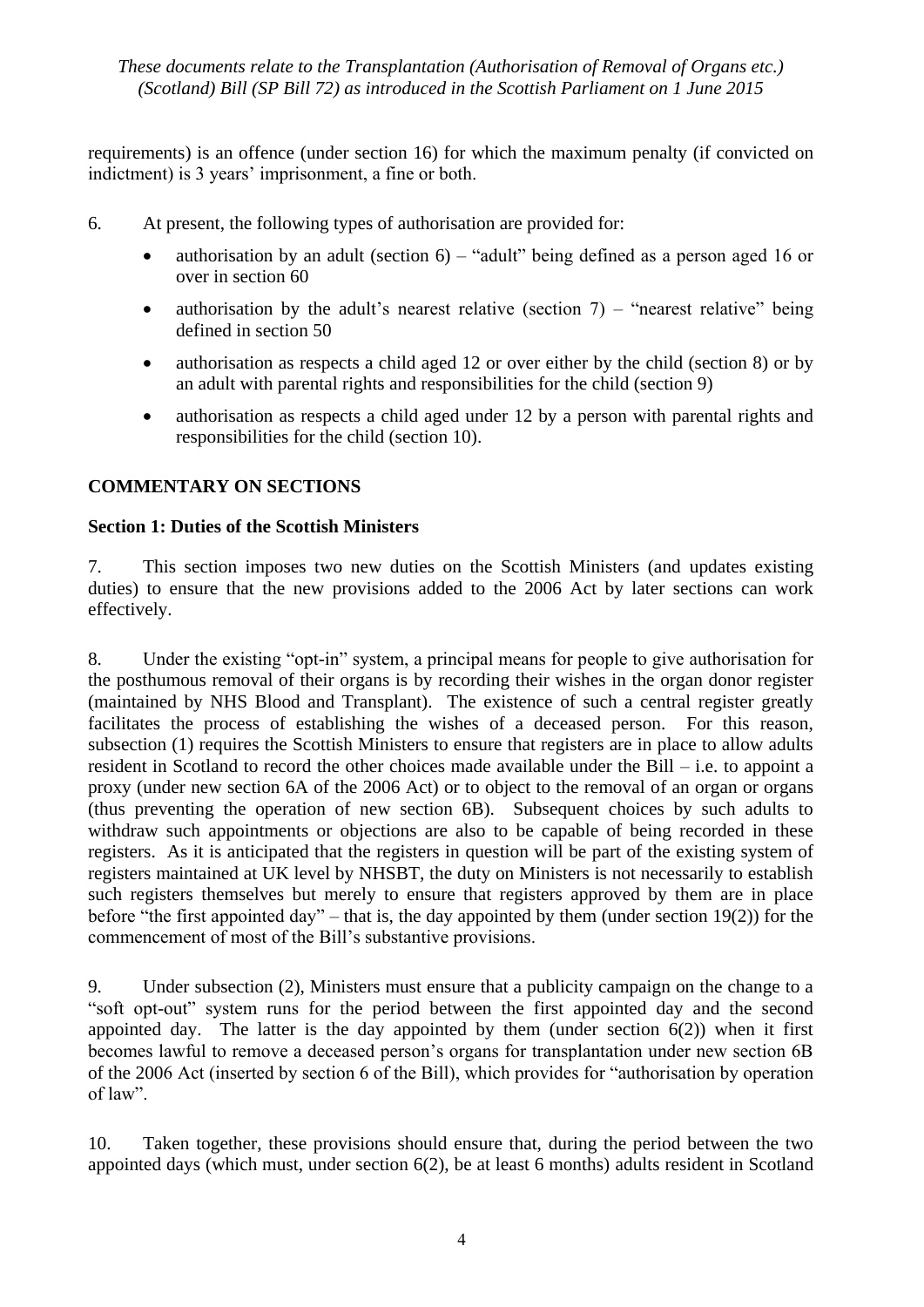requirements) is an offence (under section 16) for which the maximum penalty (if convicted on indictment) is 3 years' imprisonment, a fine or both.

- 6. At present, the following types of authorisation are provided for:
	- authorisation by an adult (section  $6$ ) "adult" being defined as a person aged 16 or over in section 60
	- authorisation by the adult's nearest relative (section  $7$ ) "nearest relative" being defined in section 50
	- authorisation as respects a child aged 12 or over either by the child (section 8) or by an adult with parental rights and responsibilities for the child (section 9)
	- authorisation as respects a child aged under 12 by a person with parental rights and responsibilities for the child (section 10).

## **COMMENTARY ON SECTIONS**

#### **Section 1: Duties of the Scottish Ministers**

7. This section imposes two new duties on the Scottish Ministers (and updates existing duties) to ensure that the new provisions added to the 2006 Act by later sections can work effectively.

8. Under the existing "opt-in" system, a principal means for people to give authorisation for the posthumous removal of their organs is by recording their wishes in the organ donor register (maintained by NHS Blood and Transplant). The existence of such a central register greatly facilitates the process of establishing the wishes of a deceased person. For this reason, subsection (1) requires the Scottish Ministers to ensure that registers are in place to allow adults resident in Scotland to record the other choices made available under the Bill – i.e. to appoint a proxy (under new section 6A of the 2006 Act) or to object to the removal of an organ or organs (thus preventing the operation of new section 6B). Subsequent choices by such adults to withdraw such appointments or objections are also to be capable of being recorded in these registers. As it is anticipated that the registers in question will be part of the existing system of registers maintained at UK level by NHSBT, the duty on Ministers is not necessarily to establish such registers themselves but merely to ensure that registers approved by them are in place before "the first appointed day" – that is, the day appointed by them (under section 19(2)) for the commencement of most of the Bill's substantive provisions.

9. Under subsection (2), Ministers must ensure that a publicity campaign on the change to a "soft opt-out" system runs for the period between the first appointed day and the second appointed day. The latter is the day appointed by them (under section  $6(2)$ ) when it first becomes lawful to remove a deceased person's organs for transplantation under new section 6B of the 2006 Act (inserted by section 6 of the Bill), which provides for "authorisation by operation of law".

10. Taken together, these provisions should ensure that, during the period between the two appointed days (which must, under section 6(2), be at least 6 months) adults resident in Scotland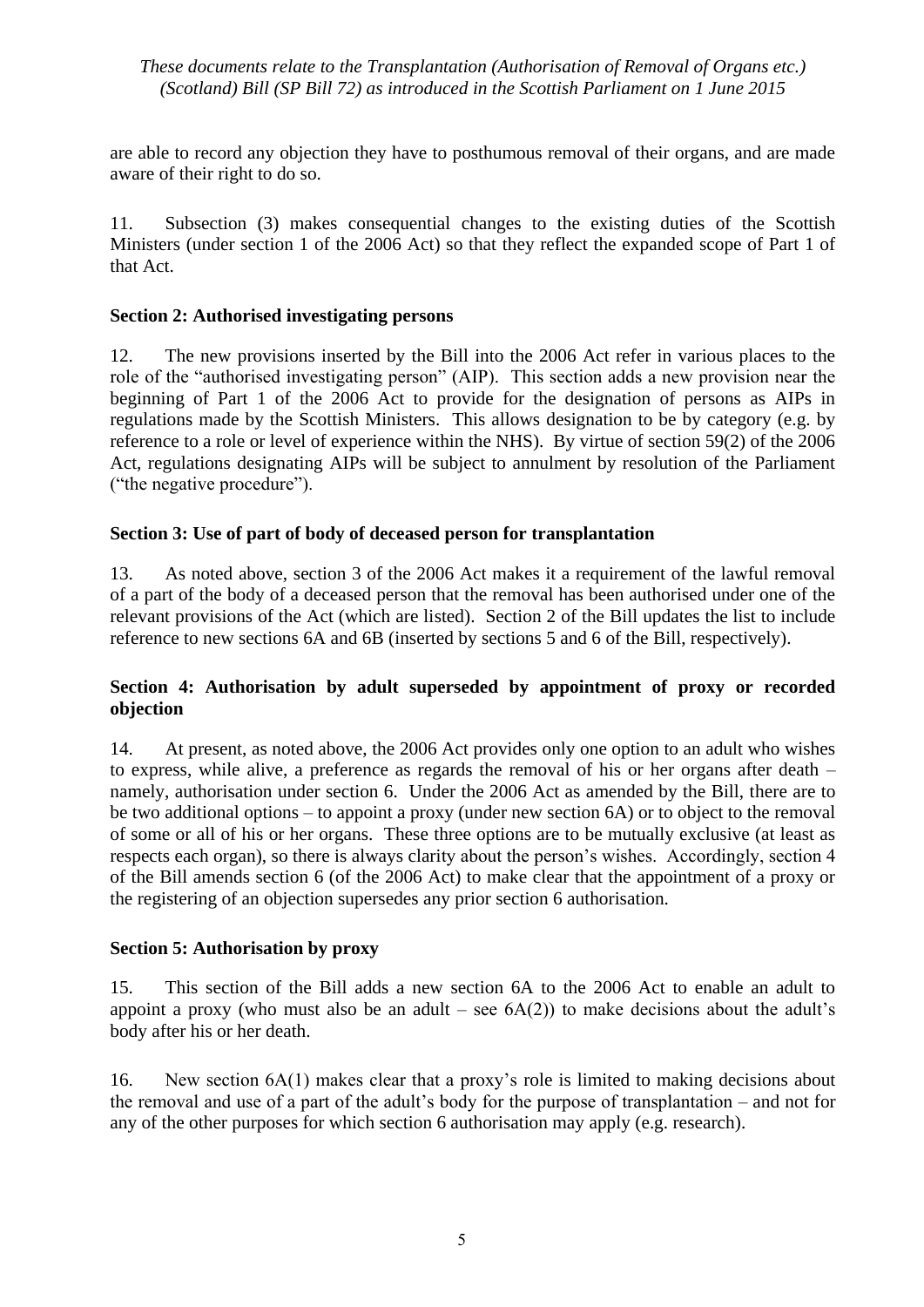are able to record any objection they have to posthumous removal of their organs, and are made aware of their right to do so.

11. Subsection (3) makes consequential changes to the existing duties of the Scottish Ministers (under section 1 of the 2006 Act) so that they reflect the expanded scope of Part 1 of that Act.

## **Section 2: Authorised investigating persons**

12. The new provisions inserted by the Bill into the 2006 Act refer in various places to the role of the "authorised investigating person" (AIP). This section adds a new provision near the beginning of Part 1 of the 2006 Act to provide for the designation of persons as AIPs in regulations made by the Scottish Ministers. This allows designation to be by category (e.g. by reference to a role or level of experience within the NHS). By virtue of section 59(2) of the 2006 Act, regulations designating AIPs will be subject to annulment by resolution of the Parliament ("the negative procedure").

## **Section 3: Use of part of body of deceased person for transplantation**

13. As noted above, section 3 of the 2006 Act makes it a requirement of the lawful removal of a part of the body of a deceased person that the removal has been authorised under one of the relevant provisions of the Act (which are listed). Section 2 of the Bill updates the list to include reference to new sections 6A and 6B (inserted by sections 5 and 6 of the Bill, respectively).

## **Section 4: Authorisation by adult superseded by appointment of proxy or recorded objection**

14. At present, as noted above, the 2006 Act provides only one option to an adult who wishes to express, while alive, a preference as regards the removal of his or her organs after death – namely, authorisation under section 6. Under the 2006 Act as amended by the Bill, there are to be two additional options – to appoint a proxy (under new section 6A) or to object to the removal of some or all of his or her organs. These three options are to be mutually exclusive (at least as respects each organ), so there is always clarity about the person's wishes. Accordingly, section 4 of the Bill amends section 6 (of the 2006 Act) to make clear that the appointment of a proxy or the registering of an objection supersedes any prior section 6 authorisation.

#### **Section 5: Authorisation by proxy**

15. This section of the Bill adds a new section 6A to the 2006 Act to enable an adult to appoint a proxy (who must also be an adult – see  $6A(2)$ ) to make decisions about the adult's body after his or her death.

16. New section 6A(1) makes clear that a proxy's role is limited to making decisions about the removal and use of a part of the adult's body for the purpose of transplantation – and not for any of the other purposes for which section 6 authorisation may apply (e.g. research).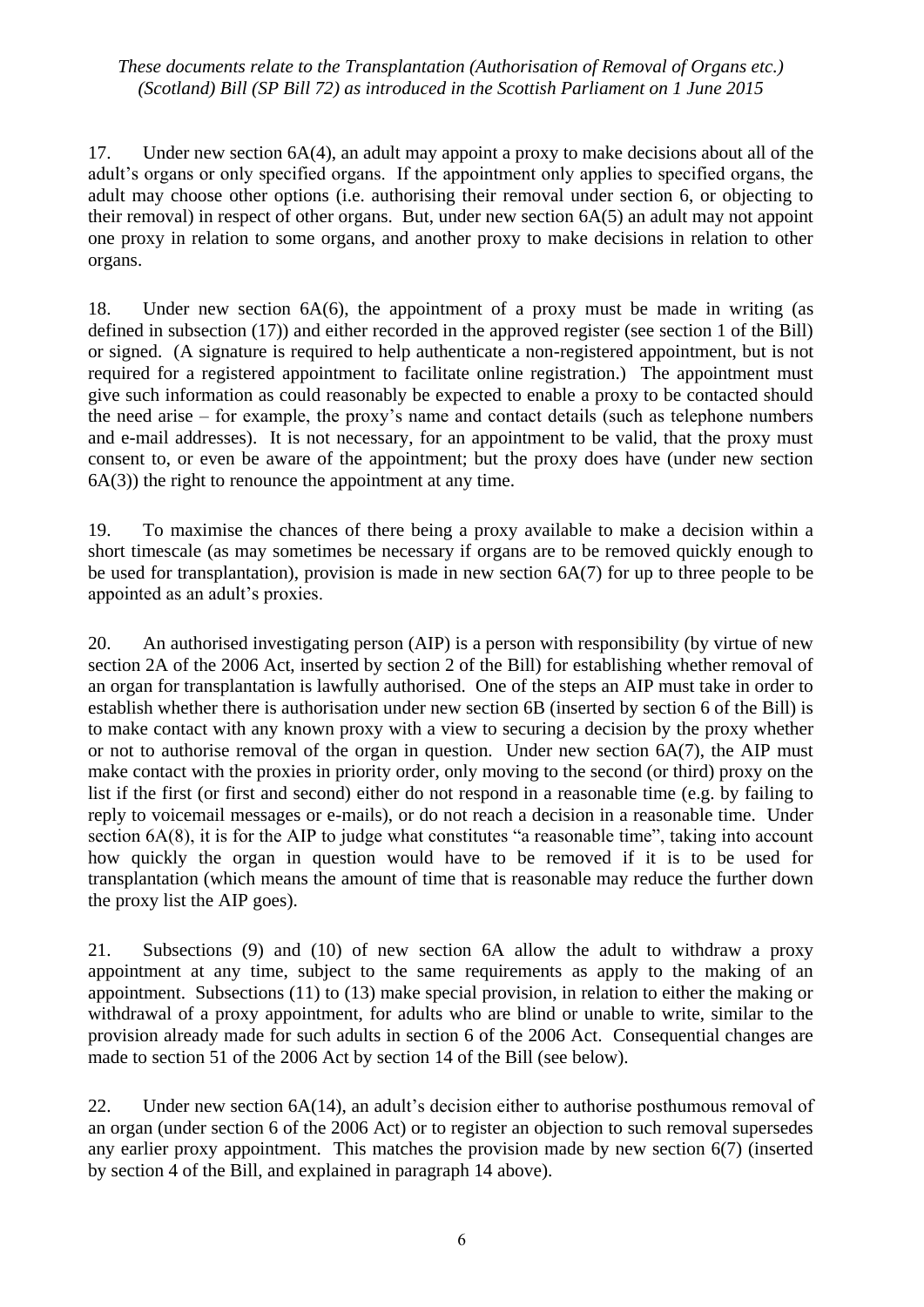17. Under new section 6A(4), an adult may appoint a proxy to make decisions about all of the adult's organs or only specified organs. If the appointment only applies to specified organs, the adult may choose other options (i.e. authorising their removal under section 6, or objecting to their removal) in respect of other organs. But, under new section 6A(5) an adult may not appoint one proxy in relation to some organs, and another proxy to make decisions in relation to other organs.

18. Under new section 6A(6), the appointment of a proxy must be made in writing (as defined in subsection (17)) and either recorded in the approved register (see section 1 of the Bill) or signed. (A signature is required to help authenticate a non-registered appointment, but is not required for a registered appointment to facilitate online registration.) The appointment must give such information as could reasonably be expected to enable a proxy to be contacted should the need arise – for example, the proxy's name and contact details (such as telephone numbers and e-mail addresses). It is not necessary, for an appointment to be valid, that the proxy must consent to, or even be aware of the appointment; but the proxy does have (under new section  $6A(3)$ ) the right to renounce the appointment at any time.

19. To maximise the chances of there being a proxy available to make a decision within a short timescale (as may sometimes be necessary if organs are to be removed quickly enough to be used for transplantation), provision is made in new section 6A(7) for up to three people to be appointed as an adult's proxies.

20. An authorised investigating person (AIP) is a person with responsibility (by virtue of new section 2A of the 2006 Act, inserted by section 2 of the Bill) for establishing whether removal of an organ for transplantation is lawfully authorised. One of the steps an AIP must take in order to establish whether there is authorisation under new section 6B (inserted by section 6 of the Bill) is to make contact with any known proxy with a view to securing a decision by the proxy whether or not to authorise removal of the organ in question. Under new section 6A(7), the AIP must make contact with the proxies in priority order, only moving to the second (or third) proxy on the list if the first (or first and second) either do not respond in a reasonable time (e.g. by failing to reply to voicemail messages or e-mails), or do not reach a decision in a reasonable time. Under section 6A(8), it is for the AIP to judge what constitutes "a reasonable time", taking into account how quickly the organ in question would have to be removed if it is to be used for transplantation (which means the amount of time that is reasonable may reduce the further down the proxy list the AIP goes).

21. Subsections (9) and (10) of new section 6A allow the adult to withdraw a proxy appointment at any time, subject to the same requirements as apply to the making of an appointment. Subsections (11) to (13) make special provision, in relation to either the making or withdrawal of a proxy appointment, for adults who are blind or unable to write, similar to the provision already made for such adults in section 6 of the 2006 Act. Consequential changes are made to section 51 of the 2006 Act by section 14 of the Bill (see below).

22. Under new section 6A(14), an adult's decision either to authorise posthumous removal of an organ (under section 6 of the 2006 Act) or to register an objection to such removal supersedes any earlier proxy appointment. This matches the provision made by new section 6(7) (inserted by section 4 of the Bill, and explained in paragraph 14 above).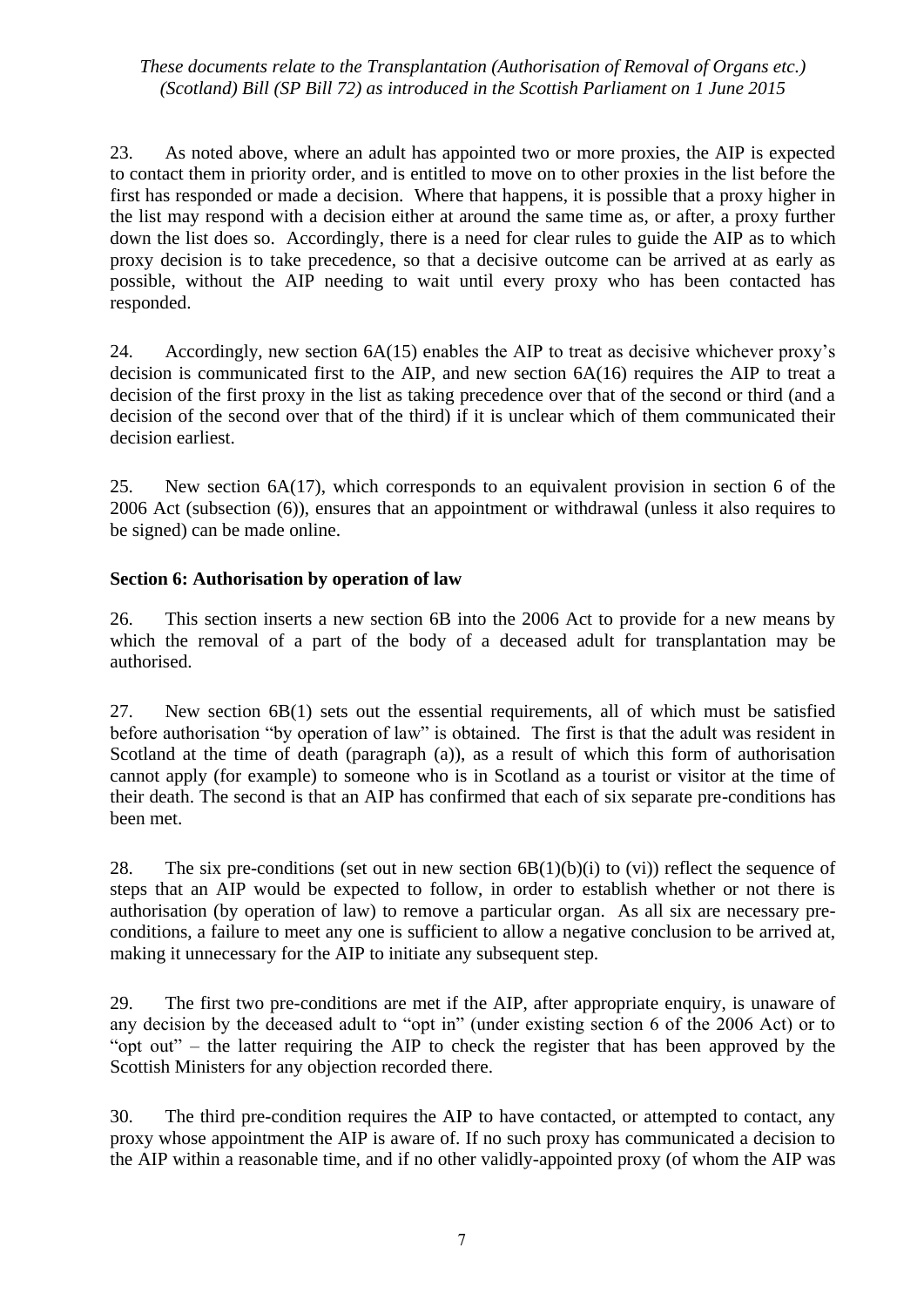23. As noted above, where an adult has appointed two or more proxies, the AIP is expected to contact them in priority order, and is entitled to move on to other proxies in the list before the first has responded or made a decision. Where that happens, it is possible that a proxy higher in the list may respond with a decision either at around the same time as, or after, a proxy further down the list does so. Accordingly, there is a need for clear rules to guide the AIP as to which proxy decision is to take precedence, so that a decisive outcome can be arrived at as early as possible, without the AIP needing to wait until every proxy who has been contacted has responded.

24. Accordingly, new section 6A(15) enables the AIP to treat as decisive whichever proxy's decision is communicated first to the AIP, and new section 6A(16) requires the AIP to treat a decision of the first proxy in the list as taking precedence over that of the second or third (and a decision of the second over that of the third) if it is unclear which of them communicated their decision earliest.

25. New section 6A(17), which corresponds to an equivalent provision in section 6 of the 2006 Act (subsection (6)), ensures that an appointment or withdrawal (unless it also requires to be signed) can be made online.

## **Section 6: Authorisation by operation of law**

26. This section inserts a new section 6B into the 2006 Act to provide for a new means by which the removal of a part of the body of a deceased adult for transplantation may be authorised.

27. New section 6B(1) sets out the essential requirements, all of which must be satisfied before authorisation "by operation of law" is obtained. The first is that the adult was resident in Scotland at the time of death (paragraph (a)), as a result of which this form of authorisation cannot apply (for example) to someone who is in Scotland as a tourist or visitor at the time of their death. The second is that an AIP has confirmed that each of six separate pre-conditions has been met.

28. The six pre-conditions (set out in new section  $6B(1)(b)(i)$  to (vi)) reflect the sequence of steps that an AIP would be expected to follow, in order to establish whether or not there is authorisation (by operation of law) to remove a particular organ. As all six are necessary preconditions, a failure to meet any one is sufficient to allow a negative conclusion to be arrived at, making it unnecessary for the AIP to initiate any subsequent step.

29. The first two pre-conditions are met if the AIP, after appropriate enquiry, is unaware of any decision by the deceased adult to "opt in" (under existing section 6 of the 2006 Act) or to "opt out" – the latter requiring the AIP to check the register that has been approved by the Scottish Ministers for any objection recorded there.

30. The third pre-condition requires the AIP to have contacted, or attempted to contact, any proxy whose appointment the AIP is aware of. If no such proxy has communicated a decision to the AIP within a reasonable time, and if no other validly-appointed proxy (of whom the AIP was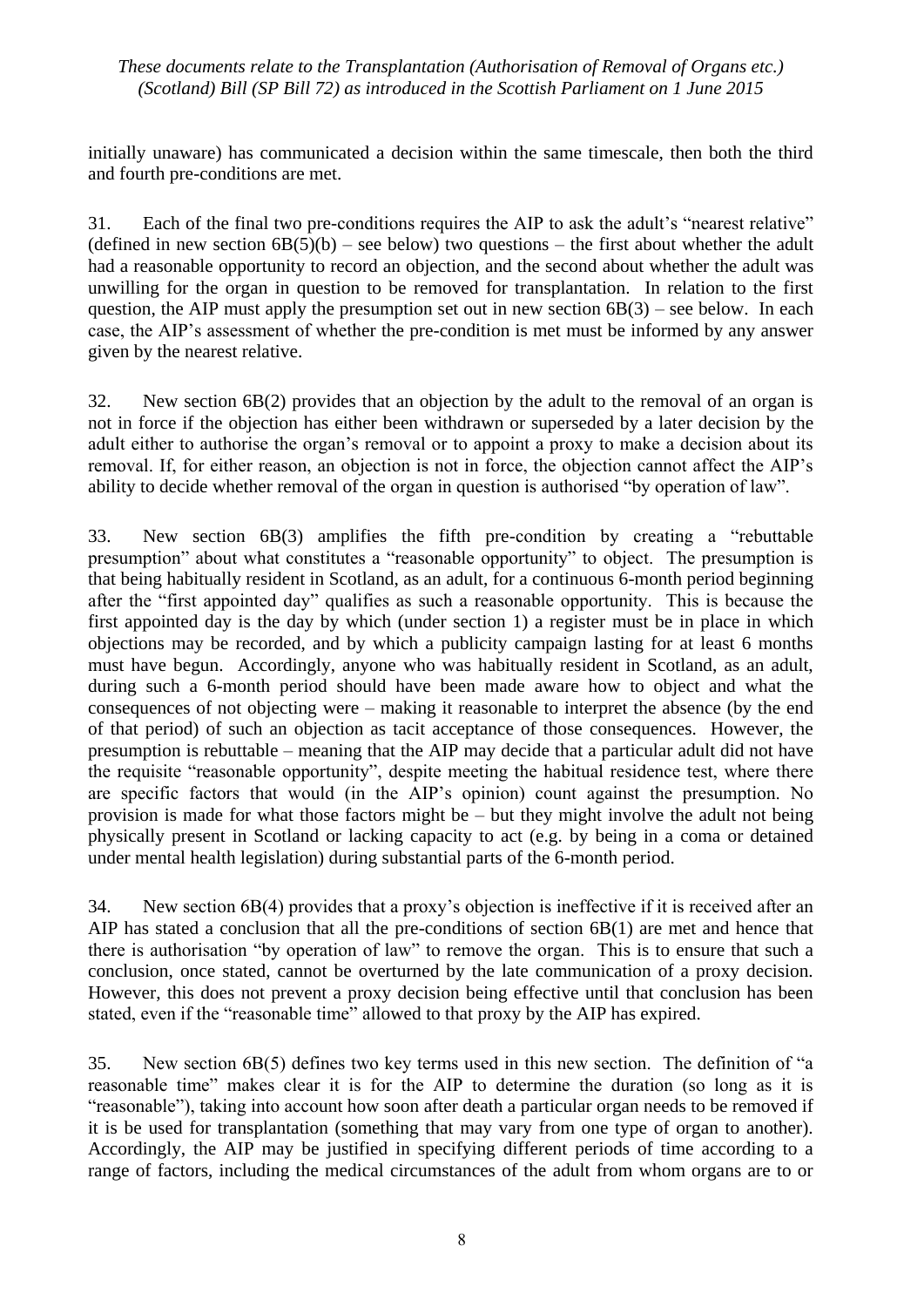initially unaware) has communicated a decision within the same timescale, then both the third and fourth pre-conditions are met.

31. Each of the final two pre-conditions requires the AIP to ask the adult's "nearest relative" (defined in new section  $6B(5)(b)$  – see below) two questions – the first about whether the adult had a reasonable opportunity to record an objection, and the second about whether the adult was unwilling for the organ in question to be removed for transplantation. In relation to the first question, the AIP must apply the presumption set out in new section  $6B(3)$  – see below. In each case, the AIP's assessment of whether the pre-condition is met must be informed by any answer given by the nearest relative.

32. New section 6B(2) provides that an objection by the adult to the removal of an organ is not in force if the objection has either been withdrawn or superseded by a later decision by the adult either to authorise the organ's removal or to appoint a proxy to make a decision about its removal. If, for either reason, an objection is not in force, the objection cannot affect the AIP's ability to decide whether removal of the organ in question is authorised "by operation of law".

33. New section 6B(3) amplifies the fifth pre-condition by creating a "rebuttable presumption" about what constitutes a "reasonable opportunity" to object. The presumption is that being habitually resident in Scotland, as an adult, for a continuous 6-month period beginning after the "first appointed day" qualifies as such a reasonable opportunity. This is because the first appointed day is the day by which (under section 1) a register must be in place in which objections may be recorded, and by which a publicity campaign lasting for at least 6 months must have begun. Accordingly, anyone who was habitually resident in Scotland, as an adult, during such a 6-month period should have been made aware how to object and what the consequences of not objecting were – making it reasonable to interpret the absence (by the end of that period) of such an objection as tacit acceptance of those consequences. However, the presumption is rebuttable – meaning that the AIP may decide that a particular adult did not have the requisite "reasonable opportunity", despite meeting the habitual residence test, where there are specific factors that would (in the AIP's opinion) count against the presumption. No provision is made for what those factors might be – but they might involve the adult not being physically present in Scotland or lacking capacity to act (e.g. by being in a coma or detained under mental health legislation) during substantial parts of the 6-month period.

34. New section 6B(4) provides that a proxy's objection is ineffective if it is received after an AIP has stated a conclusion that all the pre-conditions of section 6B(1) are met and hence that there is authorisation "by operation of law" to remove the organ. This is to ensure that such a conclusion, once stated, cannot be overturned by the late communication of a proxy decision. However, this does not prevent a proxy decision being effective until that conclusion has been stated, even if the "reasonable time" allowed to that proxy by the AIP has expired.

35. New section 6B(5) defines two key terms used in this new section. The definition of "a reasonable time" makes clear it is for the AIP to determine the duration (so long as it is "reasonable"), taking into account how soon after death a particular organ needs to be removed if it is be used for transplantation (something that may vary from one type of organ to another). Accordingly, the AIP may be justified in specifying different periods of time according to a range of factors, including the medical circumstances of the adult from whom organs are to or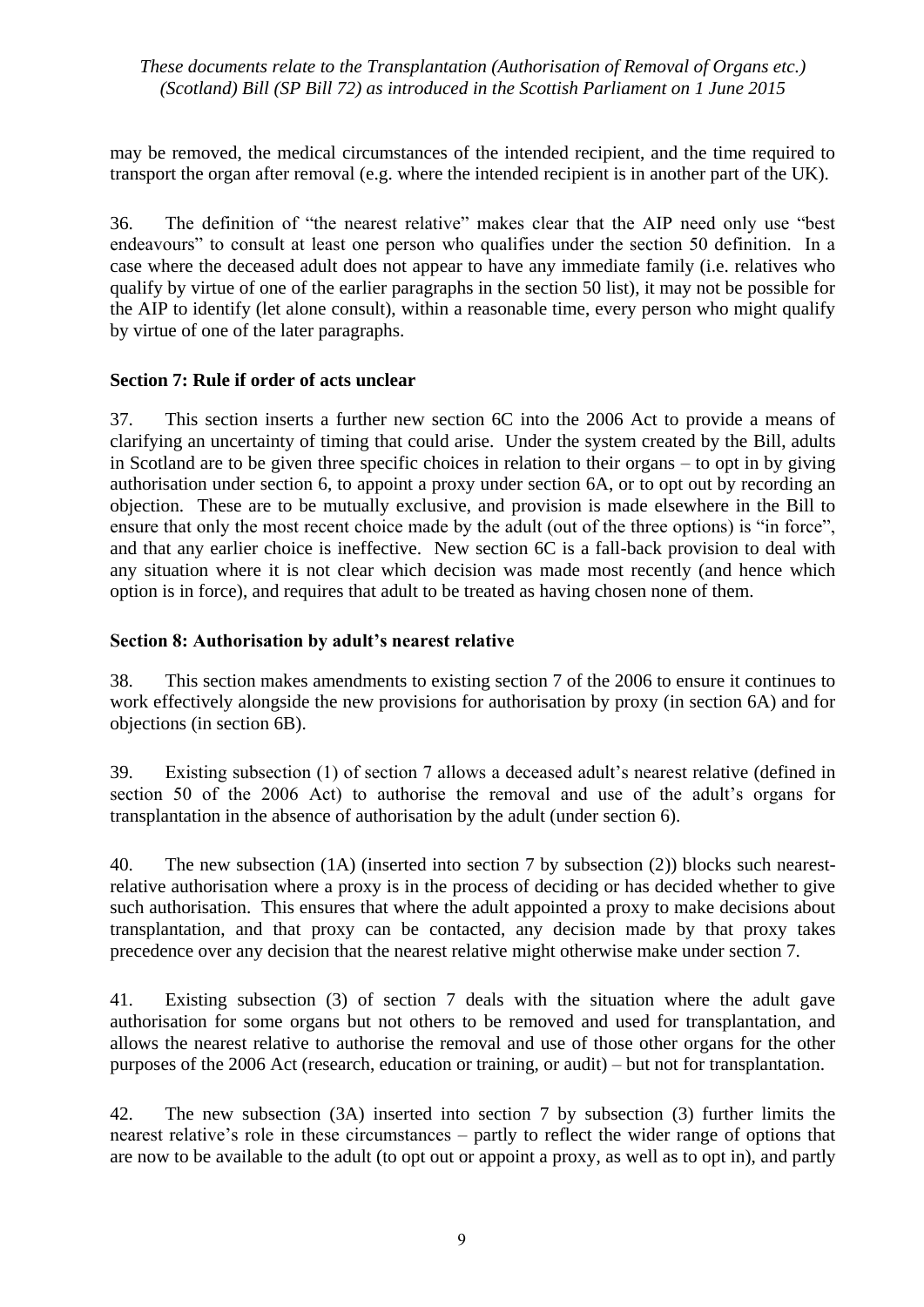may be removed, the medical circumstances of the intended recipient, and the time required to transport the organ after removal (e.g. where the intended recipient is in another part of the UK).

36. The definition of "the nearest relative" makes clear that the AIP need only use "best endeavours" to consult at least one person who qualifies under the section 50 definition. In a case where the deceased adult does not appear to have any immediate family (i.e. relatives who qualify by virtue of one of the earlier paragraphs in the section 50 list), it may not be possible for the AIP to identify (let alone consult), within a reasonable time, every person who might qualify by virtue of one of the later paragraphs.

## **Section 7: Rule if order of acts unclear**

37. This section inserts a further new section 6C into the 2006 Act to provide a means of clarifying an uncertainty of timing that could arise. Under the system created by the Bill, adults in Scotland are to be given three specific choices in relation to their organs – to opt in by giving authorisation under section 6, to appoint a proxy under section 6A, or to opt out by recording an objection. These are to be mutually exclusive, and provision is made elsewhere in the Bill to ensure that only the most recent choice made by the adult (out of the three options) is "in force", and that any earlier choice is ineffective. New section 6C is a fall-back provision to deal with any situation where it is not clear which decision was made most recently (and hence which option is in force), and requires that adult to be treated as having chosen none of them.

## **Section 8: Authorisation by adult's nearest relative**

38. This section makes amendments to existing section 7 of the 2006 to ensure it continues to work effectively alongside the new provisions for authorisation by proxy (in section 6A) and for objections (in section 6B).

39. Existing subsection (1) of section 7 allows a deceased adult's nearest relative (defined in section 50 of the 2006 Act) to authorise the removal and use of the adult's organs for transplantation in the absence of authorisation by the adult (under section 6).

40. The new subsection (1A) (inserted into section 7 by subsection (2)) blocks such nearestrelative authorisation where a proxy is in the process of deciding or has decided whether to give such authorisation. This ensures that where the adult appointed a proxy to make decisions about transplantation, and that proxy can be contacted, any decision made by that proxy takes precedence over any decision that the nearest relative might otherwise make under section 7.

41. Existing subsection (3) of section 7 deals with the situation where the adult gave authorisation for some organs but not others to be removed and used for transplantation, and allows the nearest relative to authorise the removal and use of those other organs for the other purposes of the 2006 Act (research, education or training, or audit) – but not for transplantation.

42. The new subsection (3A) inserted into section 7 by subsection (3) further limits the nearest relative's role in these circumstances – partly to reflect the wider range of options that are now to be available to the adult (to opt out or appoint a proxy, as well as to opt in), and partly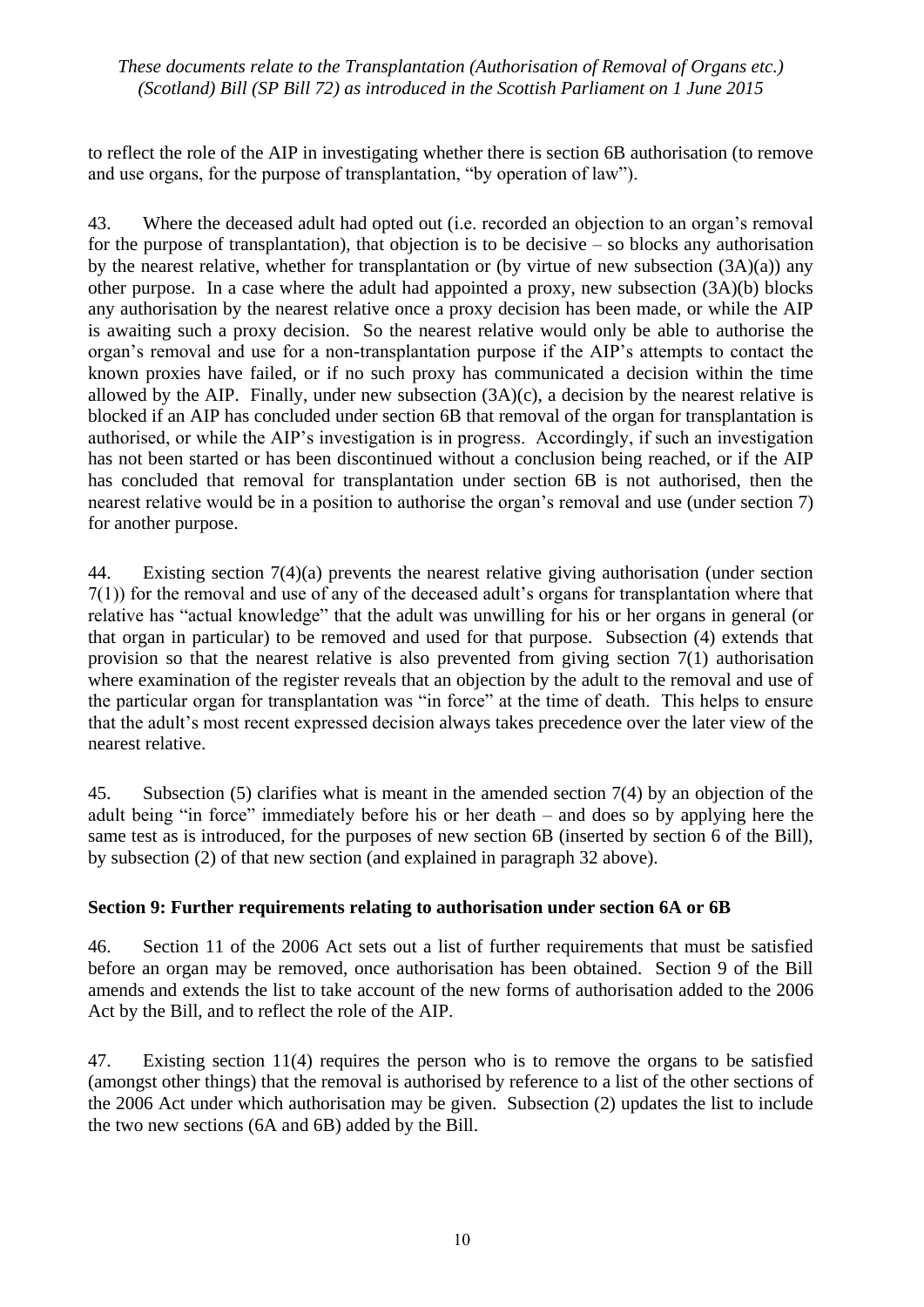to reflect the role of the AIP in investigating whether there is section 6B authorisation (to remove and use organs, for the purpose of transplantation, "by operation of law").

43. Where the deceased adult had opted out (i.e. recorded an objection to an organ's removal for the purpose of transplantation), that objection is to be decisive – so blocks any authorisation by the nearest relative, whether for transplantation or (by virtue of new subsection (3A)(a)) any other purpose. In a case where the adult had appointed a proxy, new subsection (3A)(b) blocks any authorisation by the nearest relative once a proxy decision has been made, or while the AIP is awaiting such a proxy decision. So the nearest relative would only be able to authorise the organ's removal and use for a non-transplantation purpose if the AIP's attempts to contact the known proxies have failed, or if no such proxy has communicated a decision within the time allowed by the AIP. Finally, under new subsection (3A)(c), a decision by the nearest relative is blocked if an AIP has concluded under section 6B that removal of the organ for transplantation is authorised, or while the AIP's investigation is in progress. Accordingly, if such an investigation has not been started or has been discontinued without a conclusion being reached, or if the AIP has concluded that removal for transplantation under section 6B is not authorised, then the nearest relative would be in a position to authorise the organ's removal and use (under section 7) for another purpose.

44. Existing section 7(4)(a) prevents the nearest relative giving authorisation (under section 7(1)) for the removal and use of any of the deceased adult's organs for transplantation where that relative has "actual knowledge" that the adult was unwilling for his or her organs in general (or that organ in particular) to be removed and used for that purpose. Subsection (4) extends that provision so that the nearest relative is also prevented from giving section 7(1) authorisation where examination of the register reveals that an objection by the adult to the removal and use of the particular organ for transplantation was "in force" at the time of death. This helps to ensure that the adult's most recent expressed decision always takes precedence over the later view of the nearest relative.

45. Subsection (5) clarifies what is meant in the amended section 7(4) by an objection of the adult being "in force" immediately before his or her death – and does so by applying here the same test as is introduced, for the purposes of new section 6B (inserted by section 6 of the Bill), by subsection (2) of that new section (and explained in paragraph 32 above).

## **Section 9: Further requirements relating to authorisation under section 6A or 6B**

46. Section 11 of the 2006 Act sets out a list of further requirements that must be satisfied before an organ may be removed, once authorisation has been obtained. Section 9 of the Bill amends and extends the list to take account of the new forms of authorisation added to the 2006 Act by the Bill, and to reflect the role of the AIP.

47. Existing section 11(4) requires the person who is to remove the organs to be satisfied (amongst other things) that the removal is authorised by reference to a list of the other sections of the 2006 Act under which authorisation may be given. Subsection (2) updates the list to include the two new sections (6A and 6B) added by the Bill.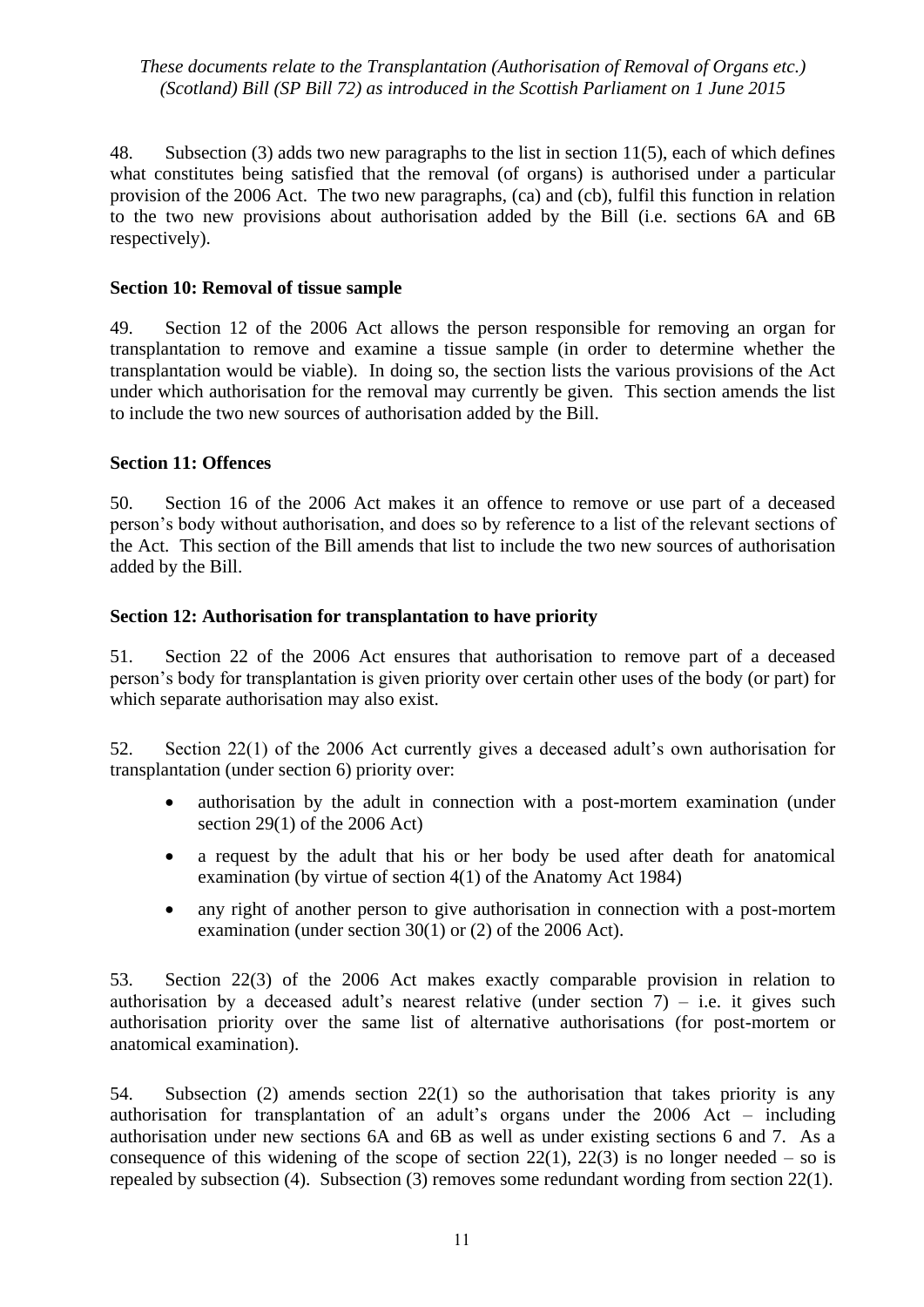48. Subsection (3) adds two new paragraphs to the list in section 11(5), each of which defines what constitutes being satisfied that the removal (of organs) is authorised under a particular provision of the 2006 Act. The two new paragraphs, (ca) and (cb), fulfil this function in relation to the two new provisions about authorisation added by the Bill (i.e. sections 6A and 6B respectively).

#### **Section 10: Removal of tissue sample**

49. Section 12 of the 2006 Act allows the person responsible for removing an organ for transplantation to remove and examine a tissue sample (in order to determine whether the transplantation would be viable). In doing so, the section lists the various provisions of the Act under which authorisation for the removal may currently be given. This section amends the list to include the two new sources of authorisation added by the Bill.

## **Section 11: Offences**

50. Section 16 of the 2006 Act makes it an offence to remove or use part of a deceased person's body without authorisation, and does so by reference to a list of the relevant sections of the Act. This section of the Bill amends that list to include the two new sources of authorisation added by the Bill.

## **Section 12: Authorisation for transplantation to have priority**

51. Section 22 of the 2006 Act ensures that authorisation to remove part of a deceased person's body for transplantation is given priority over certain other uses of the body (or part) for which separate authorisation may also exist.

52. Section 22(1) of the 2006 Act currently gives a deceased adult's own authorisation for transplantation (under section 6) priority over:

- authorisation by the adult in connection with a post-mortem examination (under section 29(1) of the 2006 Act)
- a request by the adult that his or her body be used after death for anatomical examination (by virtue of section 4(1) of the Anatomy Act 1984)
- any right of another person to give authorisation in connection with a post-mortem examination (under section 30(1) or (2) of the 2006 Act).

53. Section 22(3) of the 2006 Act makes exactly comparable provision in relation to authorisation by a deceased adult's nearest relative (under section  $7$ ) – i.e. it gives such authorisation priority over the same list of alternative authorisations (for post-mortem or anatomical examination).

54. Subsection (2) amends section 22(1) so the authorisation that takes priority is any authorisation for transplantation of an adult's organs under the 2006 Act – including authorisation under new sections 6A and 6B as well as under existing sections 6 and 7. As a consequence of this widening of the scope of section  $22(1)$ ,  $22(3)$  is no longer needed – so is repealed by subsection (4). Subsection (3) removes some redundant wording from section 22(1).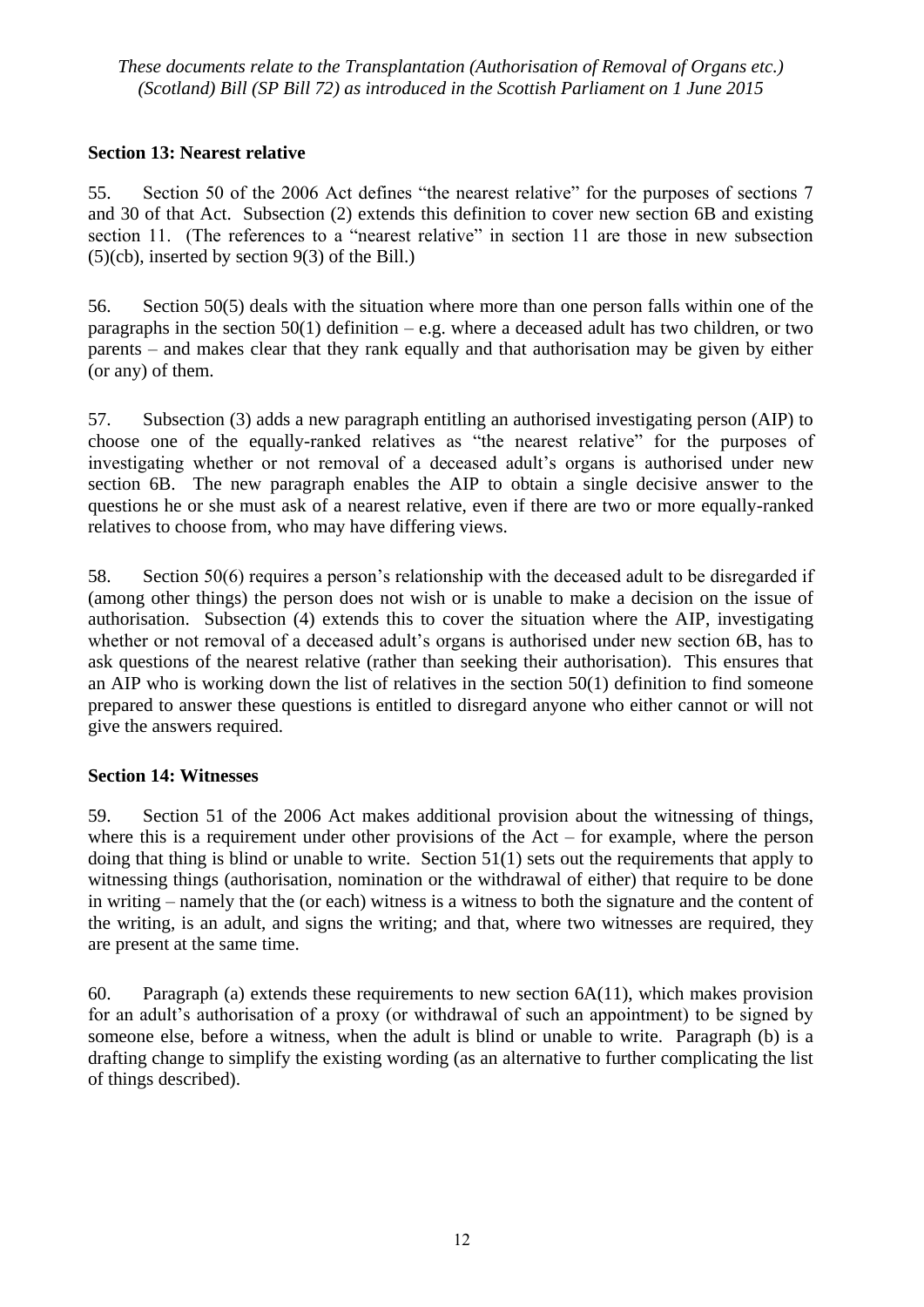## **Section 13: Nearest relative**

55. Section 50 of the 2006 Act defines "the nearest relative" for the purposes of sections 7 and 30 of that Act. Subsection (2) extends this definition to cover new section 6B and existing section 11. (The references to a "nearest relative" in section 11 are those in new subsection  $(5)(cb)$ , inserted by section 9(3) of the Bill.)

56. Section 50(5) deals with the situation where more than one person falls within one of the paragraphs in the section  $50(1)$  definition – e.g. where a deceased adult has two children, or two parents – and makes clear that they rank equally and that authorisation may be given by either (or any) of them.

57. Subsection (3) adds a new paragraph entitling an authorised investigating person (AIP) to choose one of the equally-ranked relatives as "the nearest relative" for the purposes of investigating whether or not removal of a deceased adult's organs is authorised under new section 6B. The new paragraph enables the AIP to obtain a single decisive answer to the questions he or she must ask of a nearest relative, even if there are two or more equally-ranked relatives to choose from, who may have differing views.

58. Section 50(6) requires a person's relationship with the deceased adult to be disregarded if (among other things) the person does not wish or is unable to make a decision on the issue of authorisation. Subsection (4) extends this to cover the situation where the AIP, investigating whether or not removal of a deceased adult's organs is authorised under new section 6B, has to ask questions of the nearest relative (rather than seeking their authorisation). This ensures that an AIP who is working down the list of relatives in the section 50(1) definition to find someone prepared to answer these questions is entitled to disregard anyone who either cannot or will not give the answers required.

## **Section 14: Witnesses**

59. Section 51 of the 2006 Act makes additional provision about the witnessing of things, where this is a requirement under other provisions of the  $Act - for example$ , where the person doing that thing is blind or unable to write. Section 51(1) sets out the requirements that apply to witnessing things (authorisation, nomination or the withdrawal of either) that require to be done in writing – namely that the (or each) witness is a witness to both the signature and the content of the writing, is an adult, and signs the writing; and that, where two witnesses are required, they are present at the same time.

60. Paragraph (a) extends these requirements to new section  $6A(11)$ , which makes provision for an adult's authorisation of a proxy (or withdrawal of such an appointment) to be signed by someone else, before a witness, when the adult is blind or unable to write. Paragraph (b) is a drafting change to simplify the existing wording (as an alternative to further complicating the list of things described).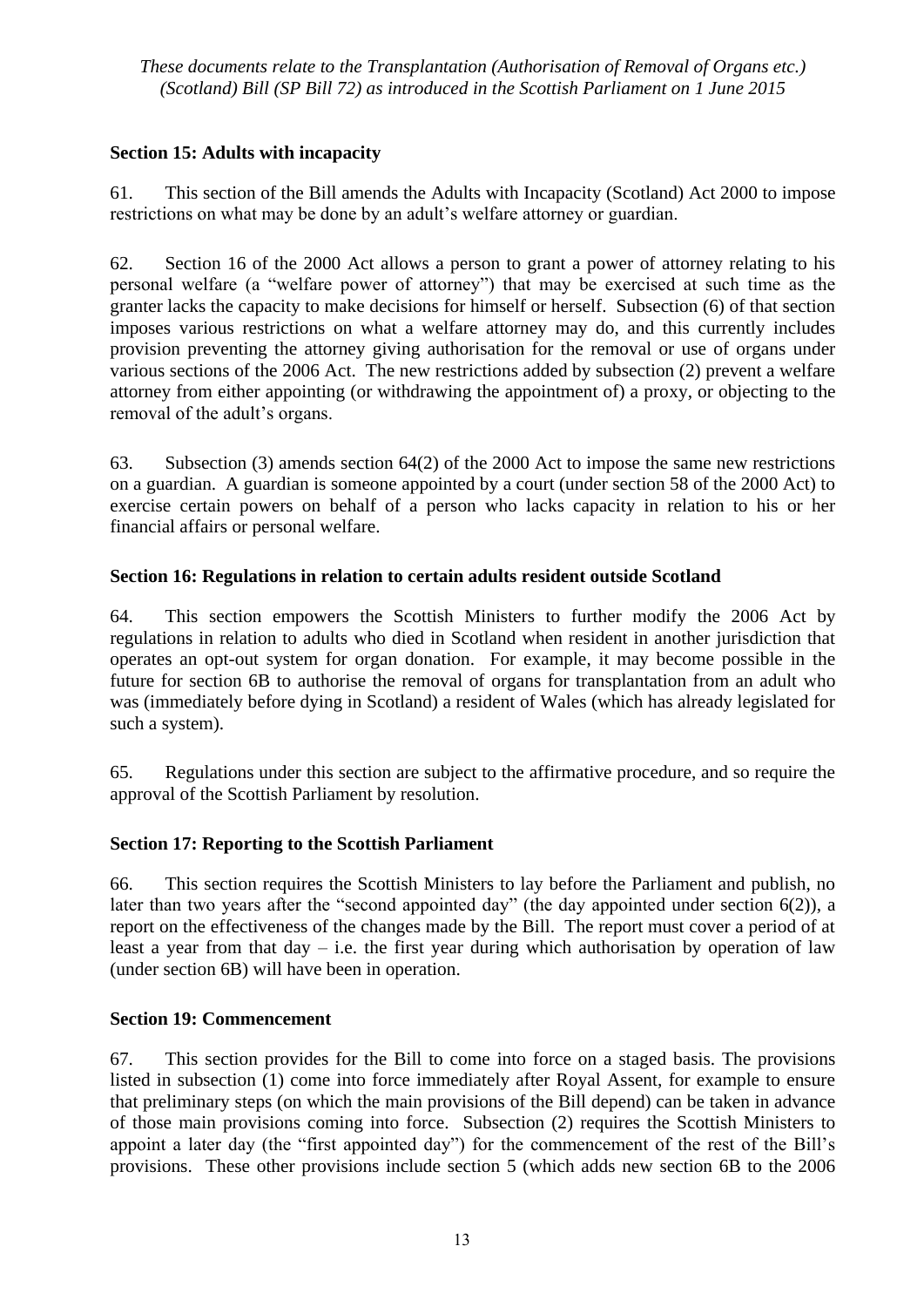## **Section 15: Adults with incapacity**

61. This section of the Bill amends the Adults with Incapacity (Scotland) Act 2000 to impose restrictions on what may be done by an adult's welfare attorney or guardian.

62. Section 16 of the 2000 Act allows a person to grant a power of attorney relating to his personal welfare (a "welfare power of attorney") that may be exercised at such time as the granter lacks the capacity to make decisions for himself or herself. Subsection (6) of that section imposes various restrictions on what a welfare attorney may do, and this currently includes provision preventing the attorney giving authorisation for the removal or use of organs under various sections of the 2006 Act. The new restrictions added by subsection (2) prevent a welfare attorney from either appointing (or withdrawing the appointment of) a proxy, or objecting to the removal of the adult's organs.

63. Subsection (3) amends section 64(2) of the 2000 Act to impose the same new restrictions on a guardian. A guardian is someone appointed by a court (under section 58 of the 2000 Act) to exercise certain powers on behalf of a person who lacks capacity in relation to his or her financial affairs or personal welfare.

## **Section 16: Regulations in relation to certain adults resident outside Scotland**

64. This section empowers the Scottish Ministers to further modify the 2006 Act by regulations in relation to adults who died in Scotland when resident in another jurisdiction that operates an opt-out system for organ donation. For example, it may become possible in the future for section 6B to authorise the removal of organs for transplantation from an adult who was (immediately before dying in Scotland) a resident of Wales (which has already legislated for such a system).

65. Regulations under this section are subject to the affirmative procedure, and so require the approval of the Scottish Parliament by resolution.

## **Section 17: Reporting to the Scottish Parliament**

66. This section requires the Scottish Ministers to lay before the Parliament and publish, no later than two years after the "second appointed day" (the day appointed under section 6(2)), a report on the effectiveness of the changes made by the Bill. The report must cover a period of at least a year from that  $day - i.e.$  the first year during which authorisation by operation of law (under section 6B) will have been in operation.

## **Section 19: Commencement**

67. This section provides for the Bill to come into force on a staged basis. The provisions listed in subsection (1) come into force immediately after Royal Assent, for example to ensure that preliminary steps (on which the main provisions of the Bill depend) can be taken in advance of those main provisions coming into force. Subsection (2) requires the Scottish Ministers to appoint a later day (the "first appointed day") for the commencement of the rest of the Bill's provisions. These other provisions include section 5 (which adds new section 6B to the 2006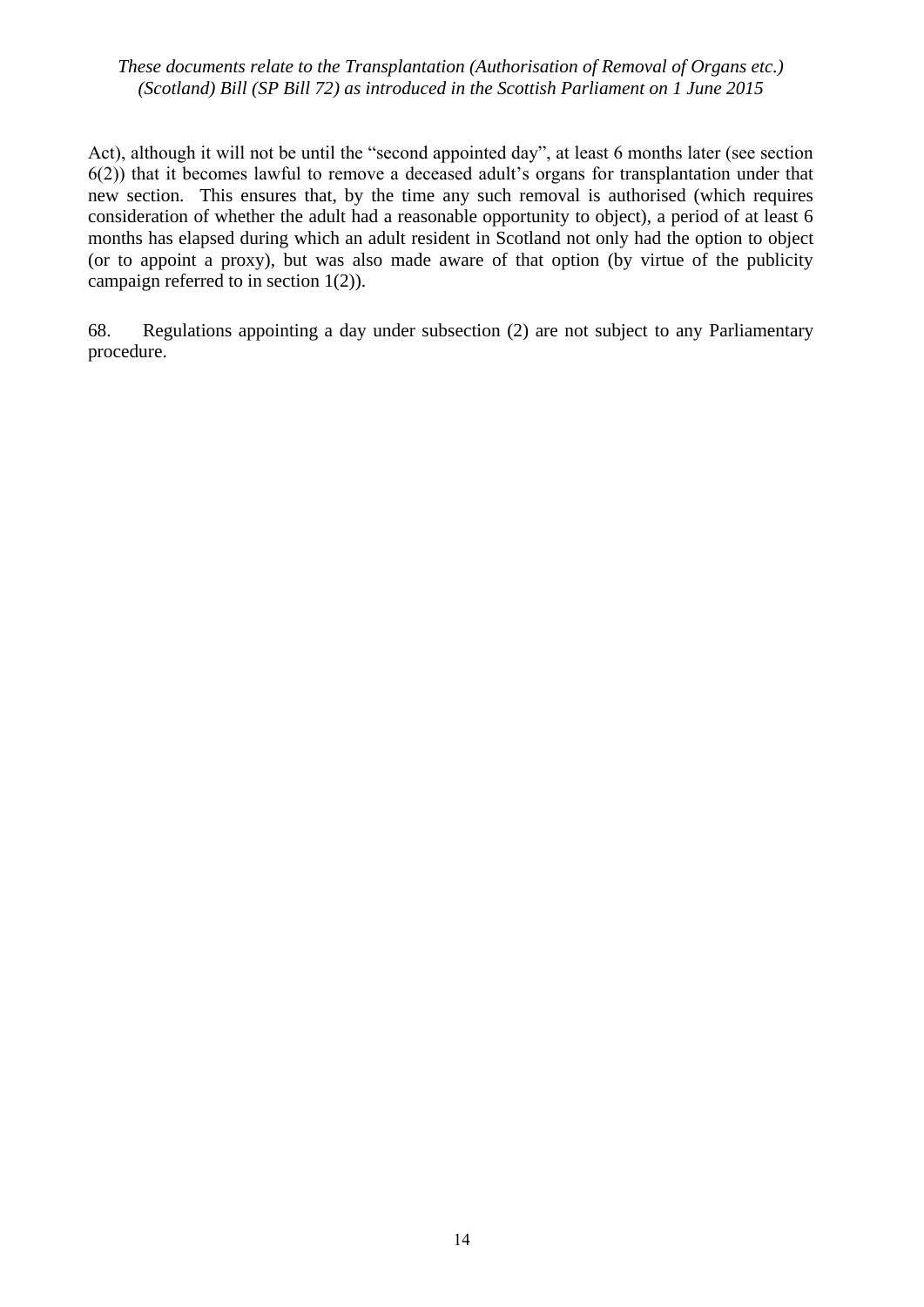Act), although it will not be until the "second appointed day", at least 6 months later (see section 6(2)) that it becomes lawful to remove a deceased adult's organs for transplantation under that new section. This ensures that, by the time any such removal is authorised (which requires consideration of whether the adult had a reasonable opportunity to object), a period of at least 6 months has elapsed during which an adult resident in Scotland not only had the option to object (or to appoint a proxy), but was also made aware of that option (by virtue of the publicity campaign referred to in section 1(2)).

68. Regulations appointing a day under subsection (2) are not subject to any Parliamentary procedure.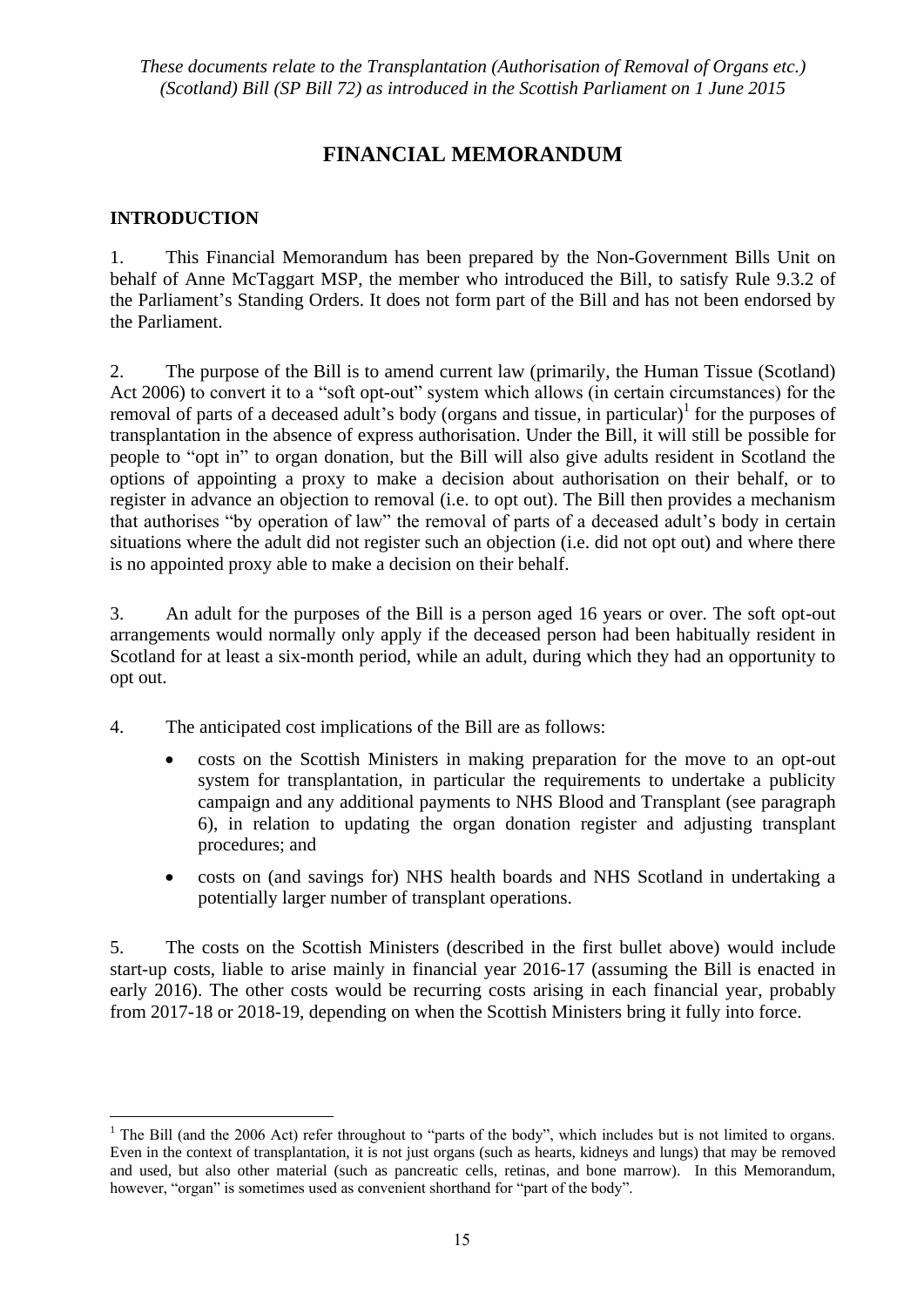# **FINANCIAL MEMORANDUM**

## **INTRODUCTION**

<u>.</u>

1. This Financial Memorandum has been prepared by the Non-Government Bills Unit on behalf of Anne McTaggart MSP, the member who introduced the Bill, to satisfy Rule 9.3.2 of the Parliament's Standing Orders. It does not form part of the Bill and has not been endorsed by the Parliament.

2. The purpose of the Bill is to amend current law (primarily, the Human Tissue (Scotland) Act 2006) to convert it to a "soft opt-out" system which allows (in certain circumstances) for the removal of parts of a deceased adult's body (organs and tissue, in particular)<sup>1</sup> for the purposes of transplantation in the absence of express authorisation. Under the Bill, it will still be possible for people to "opt in" to organ donation, but the Bill will also give adults resident in Scotland the options of appointing a proxy to make a decision about authorisation on their behalf, or to register in advance an objection to removal (i.e. to opt out). The Bill then provides a mechanism that authorises "by operation of law" the removal of parts of a deceased adult's body in certain situations where the adult did not register such an objection (i.e. did not opt out) and where there is no appointed proxy able to make a decision on their behalf.

3. An adult for the purposes of the Bill is a person aged 16 years or over. The soft opt-out arrangements would normally only apply if the deceased person had been habitually resident in Scotland for at least a six-month period, while an adult, during which they had an opportunity to opt out.

- 4. The anticipated cost implications of the Bill are as follows:
	- costs on the Scottish Ministers in making preparation for the move to an opt-out system for transplantation, in particular the requirements to undertake a publicity campaign and any additional payments to NHS Blood and Transplant (see paragraph 6), in relation to updating the organ donation register and adjusting transplant procedures; and
	- costs on (and savings for) NHS health boards and NHS Scotland in undertaking a potentially larger number of transplant operations.

5. The costs on the Scottish Ministers (described in the first bullet above) would include start-up costs, liable to arise mainly in financial year 2016-17 (assuming the Bill is enacted in early 2016). The other costs would be recurring costs arising in each financial year, probably from 2017-18 or 2018-19, depending on when the Scottish Ministers bring it fully into force.

<sup>&</sup>lt;sup>1</sup> The Bill (and the 2006 Act) refer throughout to "parts of the body", which includes but is not limited to organs. Even in the context of transplantation, it is not just organs (such as hearts, kidneys and lungs) that may be removed and used, but also other material (such as pancreatic cells, retinas, and bone marrow). In this Memorandum, however, "organ" is sometimes used as convenient shorthand for "part of the body".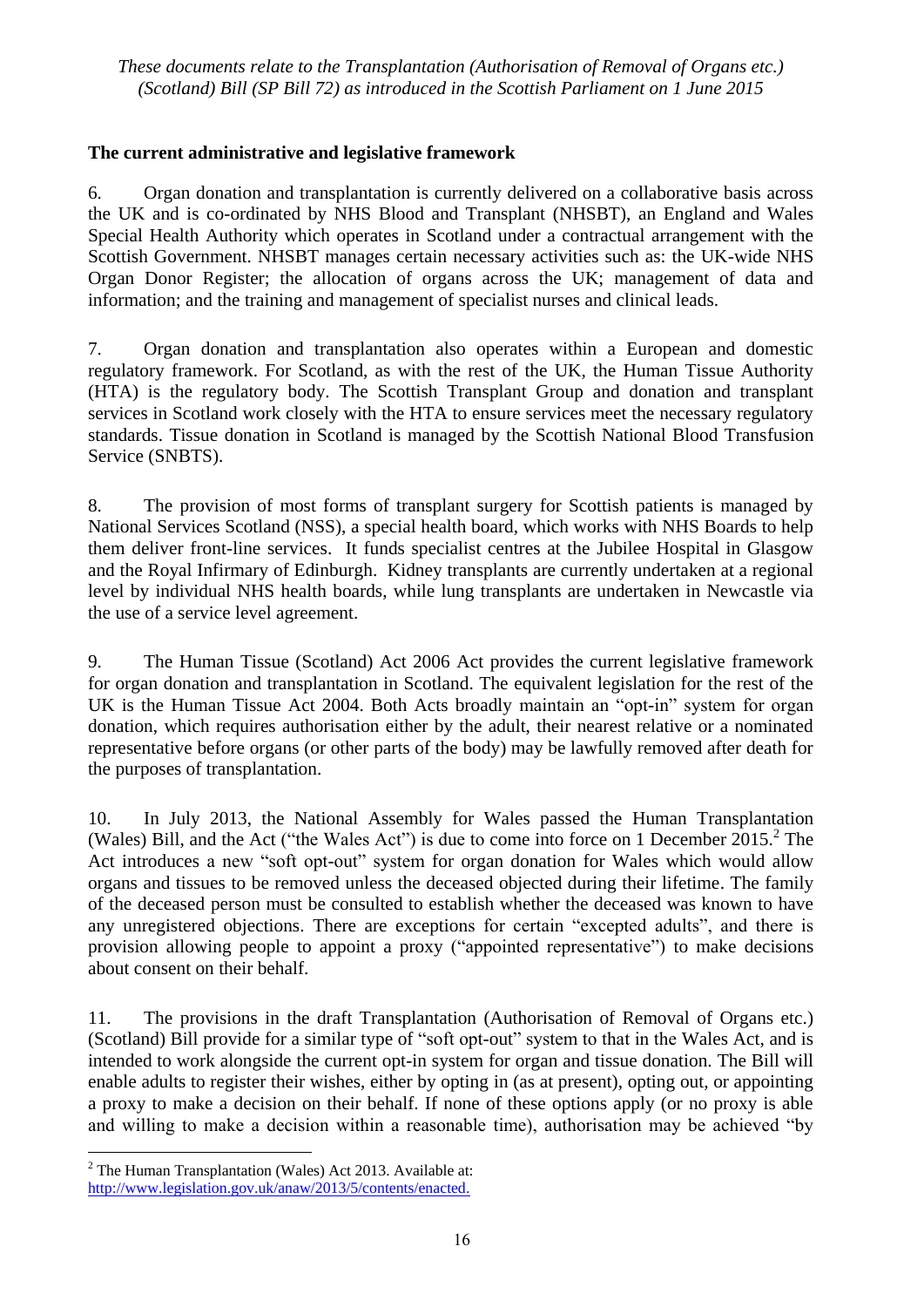## **The current administrative and legislative framework**

6. Organ donation and transplantation is currently delivered on a collaborative basis across the UK and is co-ordinated by NHS Blood and Transplant (NHSBT), an England and Wales Special Health Authority which operates in Scotland under a contractual arrangement with the Scottish Government. NHSBT manages certain necessary activities such as: the UK-wide NHS Organ Donor Register; the allocation of organs across the UK; management of data and information; and the training and management of specialist nurses and clinical leads.

7. Organ donation and transplantation also operates within a European and domestic regulatory framework. For Scotland, as with the rest of the UK, the Human Tissue Authority (HTA) is the regulatory body. The Scottish Transplant Group and donation and transplant services in Scotland work closely with the HTA to ensure services meet the necessary regulatory standards. Tissue donation in Scotland is managed by the Scottish National Blood Transfusion Service (SNBTS).

8. The provision of most forms of transplant surgery for Scottish patients is managed by National Services Scotland (NSS), a special health board, which works with NHS Boards to help them deliver front-line services. It funds specialist centres at the Jubilee Hospital in Glasgow and the Royal Infirmary of Edinburgh. Kidney transplants are currently undertaken at a regional level by individual NHS health boards, while lung transplants are undertaken in Newcastle via the use of a service level agreement.

9. The Human Tissue (Scotland) Act 2006 Act provides the current legislative framework for organ donation and transplantation in Scotland. The equivalent legislation for the rest of the UK is the Human Tissue Act 2004. Both Acts broadly maintain an "opt-in" system for organ donation, which requires authorisation either by the adult, their nearest relative or a nominated representative before organs (or other parts of the body) may be lawfully removed after death for the purposes of transplantation.

10. In July 2013, the National Assembly for Wales passed the Human Transplantation (Wales) Bill, and the Act ("the Wales Act") is due to come into force on 1 December  $2015$ .<sup>2</sup> The Act introduces a new "soft opt-out" system for organ donation for Wales which would allow organs and tissues to be removed unless the deceased objected during their lifetime. The family of the deceased person must be consulted to establish whether the deceased was known to have any unregistered objections. There are exceptions for certain "excepted adults", and there is provision allowing people to appoint a proxy ("appointed representative") to make decisions about consent on their behalf.

11. The provisions in the draft Transplantation (Authorisation of Removal of Organs etc.) (Scotland) Bill provide for a similar type of "soft opt-out" system to that in the Wales Act, and is intended to work alongside the current opt-in system for organ and tissue donation. The Bill will enable adults to register their wishes, either by opting in (as at present), opting out, or appointing a proxy to make a decision on their behalf. If none of these options apply (or no proxy is able and willing to make a decision within a reasonable time), authorisation may be achieved "by

 $\overline{a}$ 

 $2$  The Human Transplantation (Wales) Act 2013. Available at: [http://www.legislation.gov.uk/anaw/2013/5/contents/enacted.](http://www.legislation.gov.uk/anaw/2013/5/contents/enacted)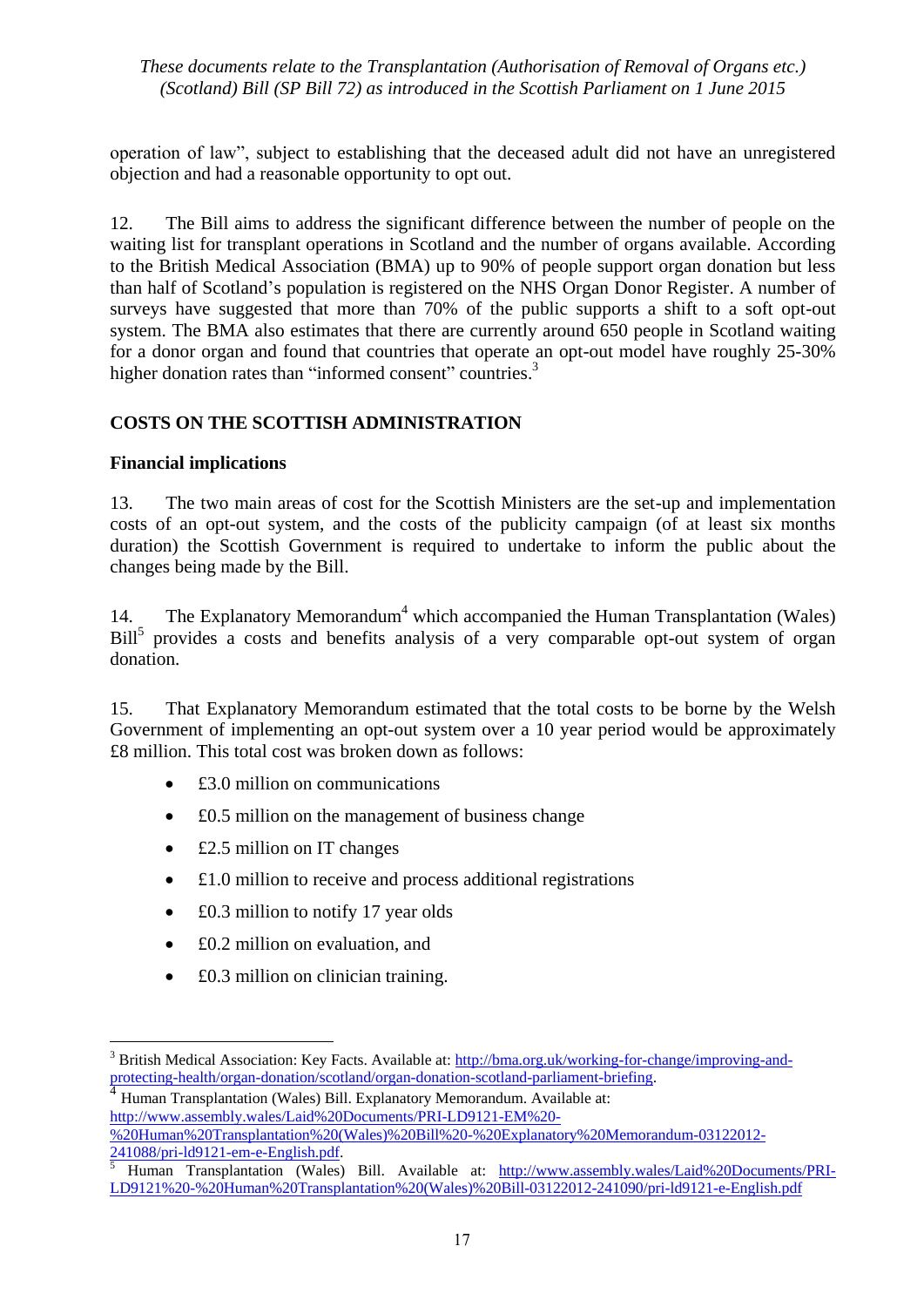operation of law", subject to establishing that the deceased adult did not have an unregistered objection and had a reasonable opportunity to opt out.

12. The Bill aims to address the significant difference between the number of people on the waiting list for transplant operations in Scotland and the number of organs available. According to the British Medical Association (BMA) up to 90% of people support organ donation but less than half of Scotland's population is registered on the NHS Organ Donor Register. A number of surveys have suggested that more than 70% of the public supports a shift to a soft opt-out system. The BMA also estimates that there are currently around 650 people in Scotland waiting for a donor organ and found that countries that operate an opt-out model have roughly 25-30% higher donation rates than "informed consent" countries.<sup>3</sup>

## **COSTS ON THE SCOTTISH ADMINISTRATION**

## **Financial implications**

1

13. The two main areas of cost for the Scottish Ministers are the set-up and implementation costs of an opt-out system, and the costs of the publicity campaign (of at least six months duration) the Scottish Government is required to undertake to inform the public about the changes being made by the Bill.

14. The Explanatory Memorandum<sup>4</sup> which accompanied the Human Transplantation (Wales) Bill<sup>5</sup> provides a costs and benefits analysis of a very comparable opt-out system of organ donation.

15. That Explanatory Memorandum estimated that the total costs to be borne by the Welsh Government of implementing an opt-out system over a 10 year period would be approximately £8 million. This total cost was broken down as follows:**:**

- £3.0 million on communications
- £0.5 million on the management of business change
- £2.5 million on IT changes
- £1.0 million to receive and process additional registrations
- £0.3 million to notify 17 year olds
- £0.2 million on evaluation, and
- £0.3 million on clinician training.

4 Human Transplantation (Wales) Bill. Explanatory Memorandum. Available at: [http://www.assembly.wales/Laid%20Documents/PRI-LD9121-EM%20-](http://www.assembly.wales/Laid%20Documents/PRI-LD9121-EM%20-%20Human%20Transplantation%20(Wales)%20Bill%20-%20Explanatory%20Memorandum-03122012-241088/pri-ld9121-em-e-English.pdf) [%20Human%20Transplantation%20\(Wales\)%20Bill%20-%20Explanatory%20Memorandum-03122012-](http://www.assembly.wales/Laid%20Documents/PRI-LD9121-EM%20-%20Human%20Transplantation%20(Wales)%20Bill%20-%20Explanatory%20Memorandum-03122012-241088/pri-ld9121-em-e-English.pdf) [241088/pri-ld9121-em-e-English.pdf.](http://www.assembly.wales/Laid%20Documents/PRI-LD9121-EM%20-%20Human%20Transplantation%20(Wales)%20Bill%20-%20Explanatory%20Memorandum-03122012-241088/pri-ld9121-em-e-English.pdf)

<sup>3</sup> British Medical Association: Key Facts. Available at: [http://bma.org.uk/working-for-change/improving-and](http://bma.org.uk/working-for-change/improving-and-protecting-health/organ-donation/scotland/organ-donation-scotland-parliament-briefing)[protecting-health/organ-donation/scotland/organ-donation-scotland-parliament-briefing.](http://bma.org.uk/working-for-change/improving-and-protecting-health/organ-donation/scotland/organ-donation-scotland-parliament-briefing)

<sup>5</sup> Human Transplantation (Wales) Bill. Available at: [http://www.assembly.wales/Laid%20Documents/PRI-](http://www.assembly.wales/Laid%20Documents/PRI-LD9121%20-%20Human%20Transplantation%20(Wales)%20Bill-03122012-241090/pri-ld9121-e-English.pdf)[LD9121%20-%20Human%20Transplantation%20\(Wales\)%20Bill-03122012-241090/pri-ld9121-e-English.pdf](http://www.assembly.wales/Laid%20Documents/PRI-LD9121%20-%20Human%20Transplantation%20(Wales)%20Bill-03122012-241090/pri-ld9121-e-English.pdf)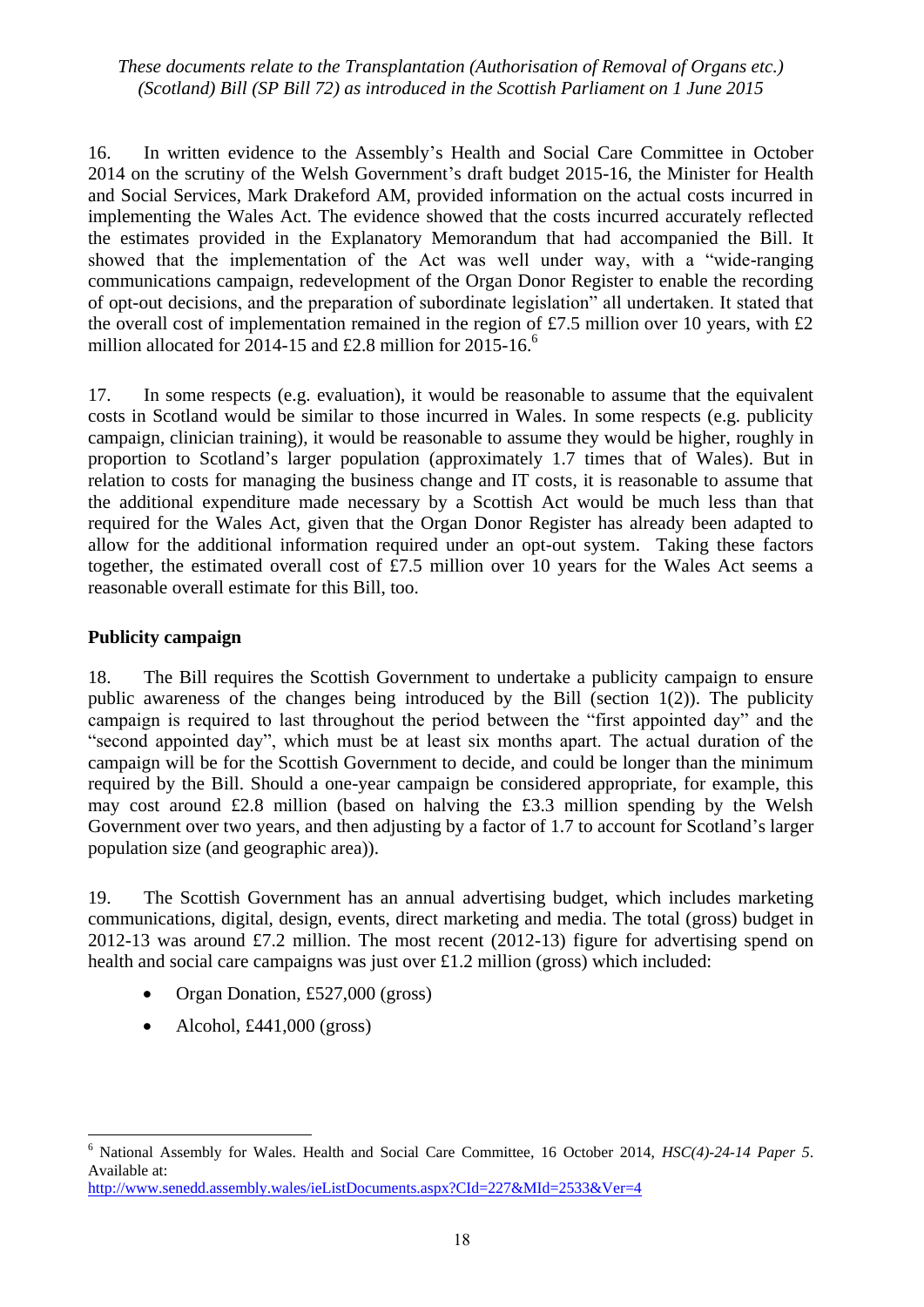16. In written evidence to the Assembly's Health and Social Care Committee in October 2014 on the scrutiny of the Welsh Government's draft budget 2015-16, the Minister for Health and Social Services, Mark Drakeford AM, provided information on the actual costs incurred in implementing the Wales Act. The evidence showed that the costs incurred accurately reflected the estimates provided in the Explanatory Memorandum that had accompanied the Bill. It showed that the implementation of the Act was well under way, with a "wide-ranging communications campaign, redevelopment of the Organ Donor Register to enable the recording of opt-out decisions, and the preparation of subordinate legislation" all undertaken. It stated that the overall cost of implementation remained in the region of £7.5 million over 10 years, with  $£2$ million allocated for 2014-15 and £2.8 million for 2015-16. $^{\circ}$ 

17. In some respects (e.g. evaluation), it would be reasonable to assume that the equivalent costs in Scotland would be similar to those incurred in Wales. In some respects (e.g. publicity campaign, clinician training), it would be reasonable to assume they would be higher, roughly in proportion to Scotland's larger population (approximately 1.7 times that of Wales). But in relation to costs for managing the business change and IT costs, it is reasonable to assume that the additional expenditure made necessary by a Scottish Act would be much less than that required for the Wales Act, given that the Organ Donor Register has already been adapted to allow for the additional information required under an opt-out system. Taking these factors together, the estimated overall cost of £7.5 million over 10 years for the Wales Act seems a reasonable overall estimate for this Bill, too.

## **Publicity campaign**

18. The Bill requires the Scottish Government to undertake a publicity campaign to ensure public awareness of the changes being introduced by the Bill (section 1(2)). The publicity campaign is required to last throughout the period between the "first appointed day" and the "second appointed day", which must be at least six months apart. The actual duration of the campaign will be for the Scottish Government to decide, and could be longer than the minimum required by the Bill. Should a one-year campaign be considered appropriate, for example, this may cost around £2.8 million (based on halving the £3.3 million spending by the Welsh Government over two years, and then adjusting by a factor of 1.7 to account for Scotland's larger population size (and geographic area)).

19. The Scottish Government has an annual advertising budget, which includes marketing communications, digital, design, events, direct marketing and media. The total (gross) budget in 2012-13 was around £7.2 million. The most recent (2012-13) figure for advertising spend on health and social care campaigns was just over £1.2 million (gross) which included:

- Organ Donation, £527,000 (gross)
- $\bullet$  Alcohol, £441,000 (gross)

<sup>6</sup> National Assembly for Wales. Health and Social Care Committee, 16 October 2014, *HSC(4)-24-14 Paper 5*. Available at: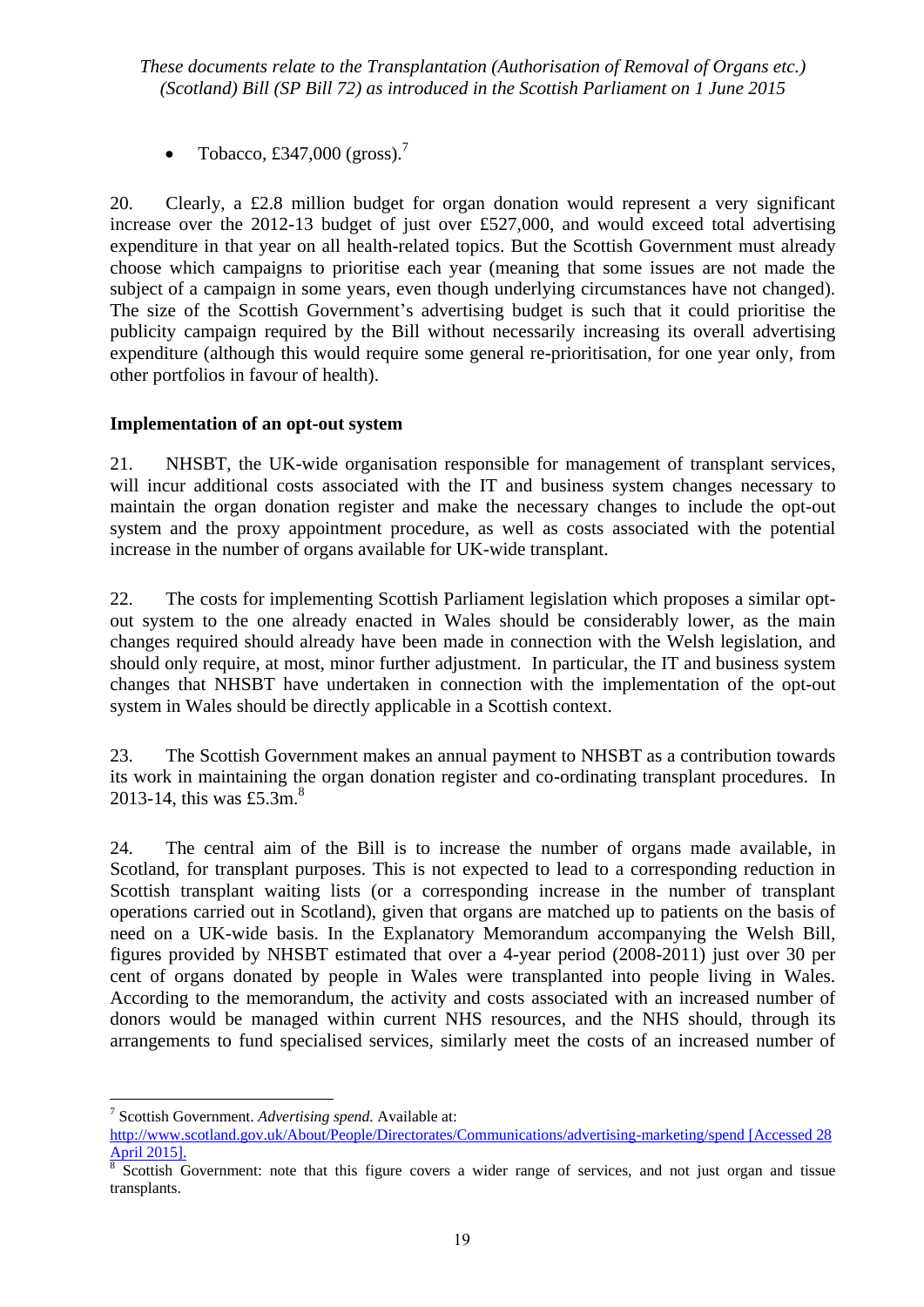• Tobacco, £347,000 (gross).<sup>7</sup>

20. Clearly, a £2.8 million budget for organ donation would represent a very significant increase over the 2012-13 budget of just over £527,000, and would exceed total advertising expenditure in that year on all health-related topics. But the Scottish Government must already choose which campaigns to prioritise each year (meaning that some issues are not made the subject of a campaign in some years, even though underlying circumstances have not changed). The size of the Scottish Government's advertising budget is such that it could prioritise the publicity campaign required by the Bill without necessarily increasing its overall advertising expenditure (although this would require some general re-prioritisation, for one year only, from other portfolios in favour of health).

## **Implementation of an opt-out system**

21. NHSBT, the UK-wide organisation responsible for management of transplant services, will incur additional costs associated with the IT and business system changes necessary to maintain the organ donation register and make the necessary changes to include the opt-out system and the proxy appointment procedure, as well as costs associated with the potential increase in the number of organs available for UK-wide transplant.

22. The costs for implementing Scottish Parliament legislation which proposes a similar optout system to the one already enacted in Wales should be considerably lower, as the main changes required should already have been made in connection with the Welsh legislation, and should only require, at most, minor further adjustment. In particular, the IT and business system changes that NHSBT have undertaken in connection with the implementation of the opt-out system in Wales should be directly applicable in a Scottish context.

23. The Scottish Government makes an annual payment to NHSBT as a contribution towards its work in maintaining the organ donation register and co-ordinating transplant procedures. In 2013-14, this was £5.3m.<sup>8</sup>

24. The central aim of the Bill is to increase the number of organs made available, in Scotland, for transplant purposes. This is not expected to lead to a corresponding reduction in Scottish transplant waiting lists (or a corresponding increase in the number of transplant operations carried out in Scotland), given that organs are matched up to patients on the basis of need on a UK-wide basis. In the Explanatory Memorandum accompanying the Welsh Bill, figures provided by NHSBT estimated that over a 4-year period (2008-2011) just over 30 per cent of organs donated by people in Wales were transplanted into people living in Wales. According to the memorandum, the activity and costs associated with an increased number of donors would be managed within current NHS resources, and the NHS should, through its arrangements to fund specialised services, similarly meet the costs of an increased number of

<sup>7</sup> Scottish Government. *Advertising spend.* Available at:

<http://www.scotland.gov.uk/About/People/Directorates/Communications/advertising-marketing/spend> [Accessed 28 April 2015].

<sup>8</sup> Scottish Government: note that this figure covers a wider range of services, and not just organ and tissue transplants.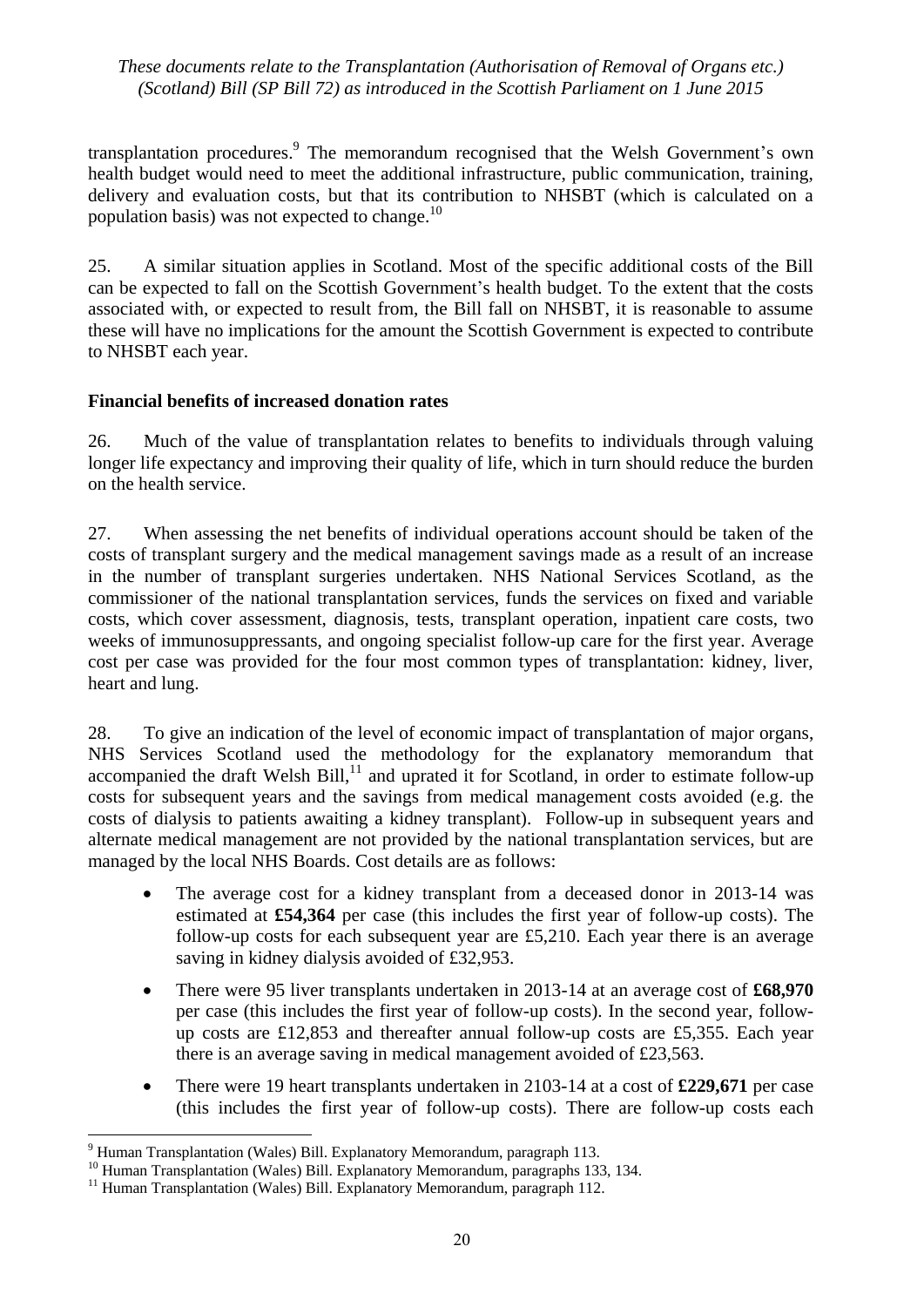transplantation procedures. The memorandum recognised that the Welsh Government's own health budget would need to meet the additional infrastructure, public communication, training, delivery and evaluation costs, but that its contribution to NHSBT (which is calculated on a population basis) was not expected to change. $^{10}$ 

25. A similar situation applies in Scotland. Most of the specific additional costs of the Bill can be expected to fall on the Scottish Government's health budget. To the extent that the costs associated with, or expected to result from, the Bill fall on NHSBT, it is reasonable to assume these will have no implications for the amount the Scottish Government is expected to contribute to NHSBT each year.

## **Financial benefits of increased donation rates**

26. Much of the value of transplantation relates to benefits to individuals through valuing longer life expectancy and improving their quality of life, which in turn should reduce the burden on the health service.

27. When assessing the net benefits of individual operations account should be taken of the costs of transplant surgery and the medical management savings made as a result of an increase in the number of transplant surgeries undertaken. NHS National Services Scotland, as the commissioner of the national transplantation services, funds the services on fixed and variable costs, which cover assessment, diagnosis, tests, transplant operation, inpatient care costs, two weeks of immunosuppressants, and ongoing specialist follow-up care for the first year. Average cost per case was provided for the four most common types of transplantation: kidney, liver, heart and lung.

28. To give an indication of the level of economic impact of transplantation of major organs, NHS Services Scotland used the methodology for the explanatory memorandum that accompanied the draft Welsh Bill, $^{11}$  and uprated it for Scotland, in order to estimate follow-up costs for subsequent years and the savings from medical management costs avoided (e.g. the costs of dialysis to patients awaiting a kidney transplant). Follow-up in subsequent years and alternate medical management are not provided by the national transplantation services, but are managed by the local NHS Boards. Cost details are as follows:

- The average cost for a kidney transplant from a deceased donor in 2013-14 was estimated at **£54,364** per case (this includes the first year of follow-up costs). The follow-up costs for each subsequent year are £5,210. Each year there is an average saving in kidney dialysis avoided of £32,953.
- There were 95 liver transplants undertaken in 2013-14 at an average cost of **£68,970** per case (this includes the first year of follow-up costs). In the second year, followup costs are £12,853 and thereafter annual follow-up costs are £5,355. Each year there is an average saving in medical management avoided of £23,563.
- There were 19 heart transplants undertaken in 2103-14 at a cost of £229,671 per case (this includes the first year of follow-up costs). There are follow-up costs each

<sup>9</sup> Human Transplantation (Wales) Bill. Explanatory Memorandum, paragraph 113.

<sup>&</sup>lt;sup>10</sup> Human Transplantation (Wales) Bill. Explanatory Memorandum, paragraphs 133, 134.

<sup>&</sup>lt;sup>11</sup> Human Transplantation (Wales) Bill. Explanatory Memorandum, paragraph 112.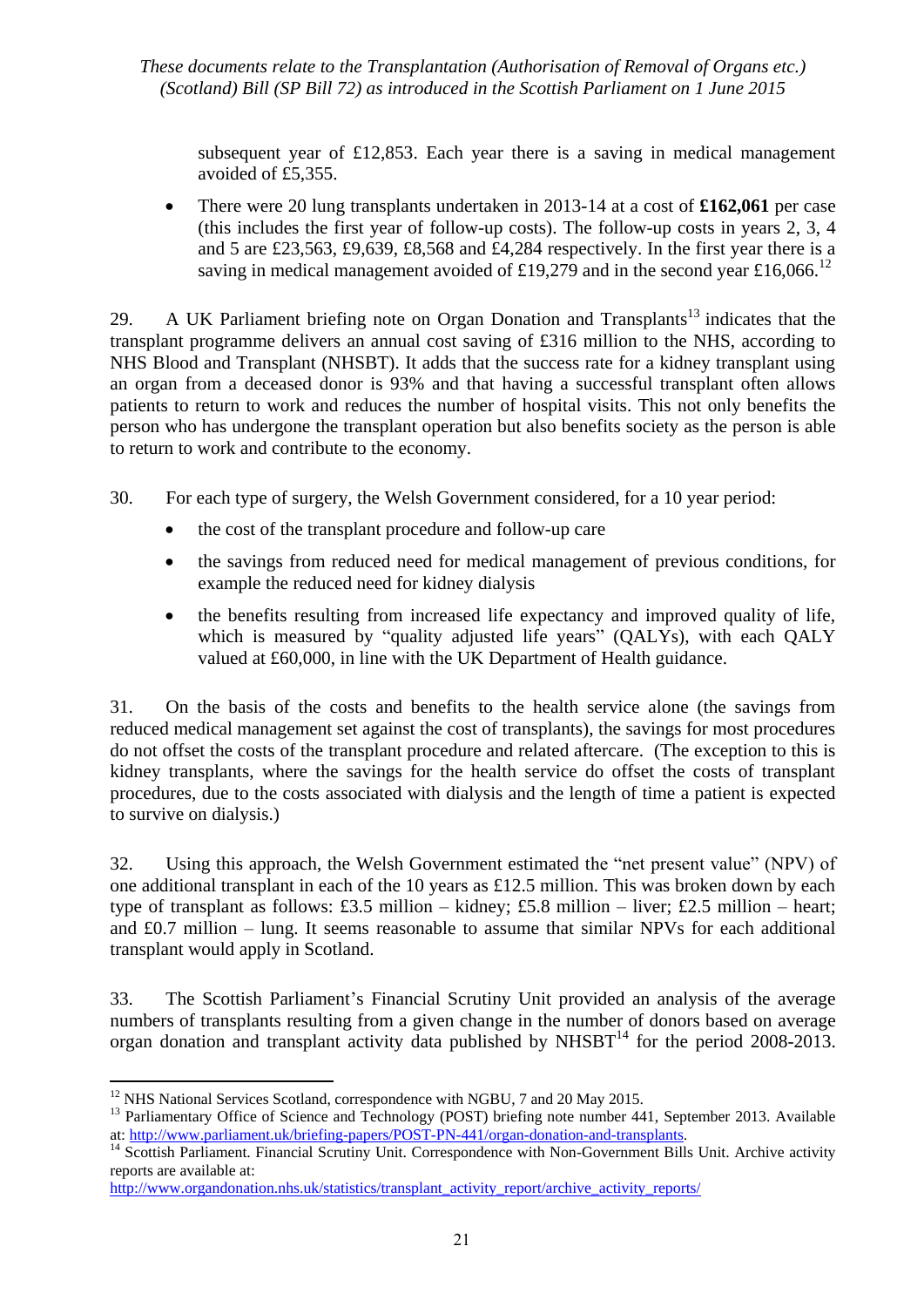subsequent year of £12,853. Each year there is a saving in medical management avoided of £5,355.

 There were 20 lung transplants undertaken in 2013-14 at a cost of **£162,061** per case (this includes the first year of follow-up costs). The follow-up costs in years 2, 3, 4 and 5 are £23,563, £9,639, £8,568 and £4,284 respectively. In the first year there is a saving in medical management avoided of £19,279 and in the second year £16,066.<sup>12</sup>

29. A UK Parliament briefing note on Organ Donation and Transplants<sup>13</sup> indicates that the transplant programme delivers an annual cost saving of £316 million to the NHS, according to NHS Blood and Transplant (NHSBT). It adds that the success rate for a kidney transplant using an organ from a deceased donor is 93% and that having a successful transplant often allows patients to return to work and reduces the number of hospital visits. This not only benefits the person who has undergone the transplant operation but also benefits society as the person is able to return to work and contribute to the economy.

30. For each type of surgery, the Welsh Government considered, for a 10 year period:

- the cost of the transplant procedure and follow-up care
- the savings from reduced need for medical management of previous conditions, for example the reduced need for kidney dialysis
- the benefits resulting from increased life expectancy and improved quality of life, which is measured by "quality adjusted life years" (QALYs), with each QALY valued at £60,000, in line with the UK Department of Health guidance.

31. On the basis of the costs and benefits to the health service alone (the savings from reduced medical management set against the cost of transplants), the savings for most procedures do not offset the costs of the transplant procedure and related aftercare. (The exception to this is kidney transplants, where the savings for the health service do offset the costs of transplant procedures, due to the costs associated with dialysis and the length of time a patient is expected to survive on dialysis.)

32. Using this approach, the Welsh Government estimated the "net present value" (NPV) of one additional transplant in each of the 10 years as £12.5 million. This was broken down by each type of transplant as follows: £3.5 million – kidney; £5.8 million – liver; £2.5 million – heart; and £0.7 million – lung. It seems reasonable to assume that similar NPVs for each additional transplant would apply in Scotland.

33. The Scottish Parliament's Financial Scrutiny Unit provided an analysis of the average numbers of transplants resulting from a given change in the number of donors based on average organ donation and transplant activity data published by NHSBT<sup>14</sup> for the period 2008-2013.

 $12$  NHS National Services Scotland, correspondence with NGBU, 7 and 20 May 2015.

<sup>&</sup>lt;sup>13</sup> Parliamentary Office of Science and Technology (POST) briefing note number 441, September 2013. Available at: [http://www.parliament.uk/briefing-papers/POST-PN-441/organ-donation-and-transplants.](http://www.parliament.uk/briefing-papers/POST-PN-441/organ-donation-and-transplants)

<sup>&</sup>lt;sup>14</sup> Scottish Parliament. Financial Scrutiny Unit. Correspondence with Non-Government Bills Unit. Archive activity reports are available at:

[http://www.organdonation.nhs.uk/statistics/transplant\\_activity\\_report/archive\\_activity\\_reports/](http://www.organdonation.nhs.uk/statistics/transplant_activity_report/archive_activity_reports/)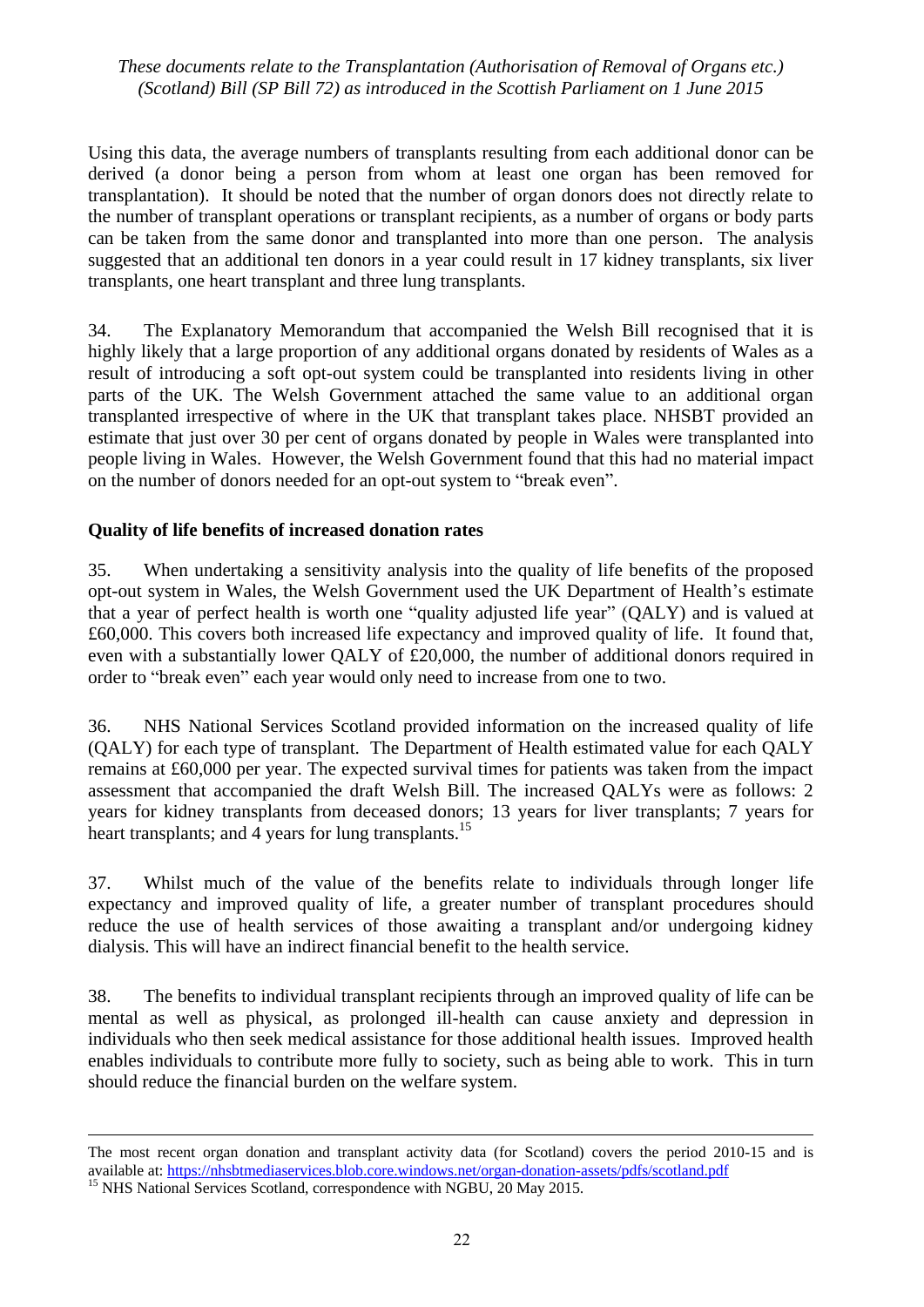Using this data, the average numbers of transplants resulting from each additional donor can be derived (a donor being a person from whom at least one organ has been removed for transplantation). It should be noted that the number of organ donors does not directly relate to the number of transplant operations or transplant recipients, as a number of organs or body parts can be taken from the same donor and transplanted into more than one person. The analysis suggested that an additional ten donors in a year could result in 17 kidney transplants, six liver transplants, one heart transplant and three lung transplants.

34. The Explanatory Memorandum that accompanied the Welsh Bill recognised that it is highly likely that a large proportion of any additional organs donated by residents of Wales as a result of introducing a soft opt-out system could be transplanted into residents living in other parts of the UK. The Welsh Government attached the same value to an additional organ transplanted irrespective of where in the UK that transplant takes place. NHSBT provided an estimate that just over 30 per cent of organs donated by people in Wales were transplanted into people living in Wales. However, the Welsh Government found that this had no material impact on the number of donors needed for an opt-out system to "break even".

#### **Quality of life benefits of increased donation rates**

35. When undertaking a sensitivity analysis into the quality of life benefits of the proposed opt-out system in Wales, the Welsh Government used the UK Department of Health's estimate that a year of perfect health is worth one "quality adjusted life year" (QALY) and is valued at £60,000. This covers both increased life expectancy and improved quality of life. It found that, even with a substantially lower QALY of £20,000, the number of additional donors required in order to "break even" each year would only need to increase from one to two.

36. NHS National Services Scotland provided information on the increased quality of life (QALY) for each type of transplant. The Department of Health estimated value for each QALY remains at £60,000 per year. The expected survival times for patients was taken from the impact assessment that accompanied the draft Welsh Bill. The increased QALYs were as follows: 2 years for kidney transplants from deceased donors; 13 years for liver transplants; 7 years for heart transplants; and 4 years for lung transplants.<sup>15</sup>

37. Whilst much of the value of the benefits relate to individuals through longer life expectancy and improved quality of life, a greater number of transplant procedures should reduce the use of health services of those awaiting a transplant and/or undergoing kidney dialysis. This will have an indirect financial benefit to the health service.

38. The benefits to individual transplant recipients through an improved quality of life can be mental as well as physical, as prolonged ill-health can cause anxiety and depression in individuals who then seek medical assistance for those additional health issues. Improved health enables individuals to contribute more fully to society, such as being able to work. This in turn should reduce the financial burden on the welfare system.

The most recent organ donation and transplant activity data (for Scotland) covers the period 2010-15 and is available at:<https://nhsbtmediaservices.blob.core.windows.net/organ-donation-assets/pdfs/scotland.pdf>

<sup>&</sup>lt;sup>15</sup> NHS National Services Scotland, correspondence with NGBU, 20 May 2015.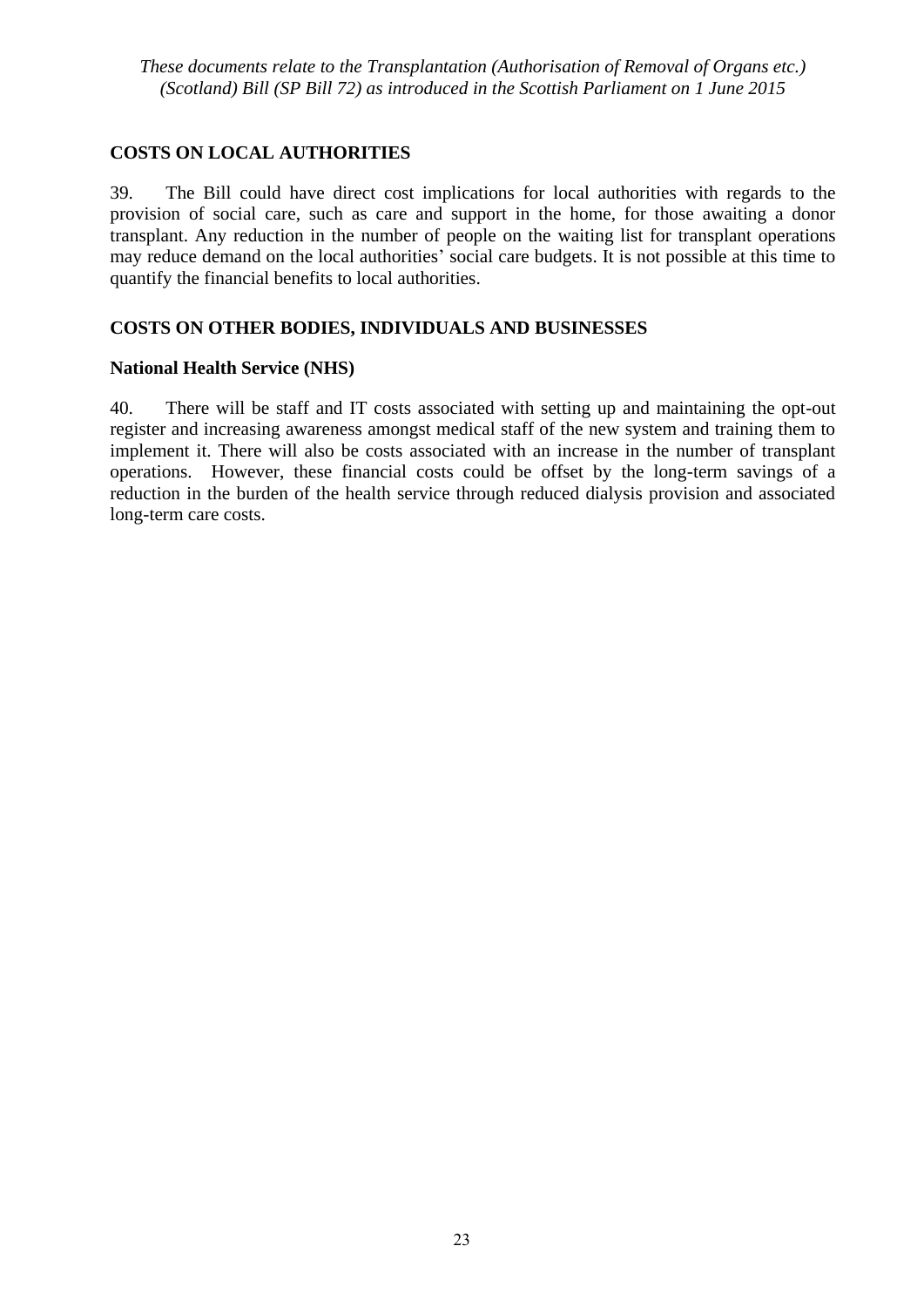## **COSTS ON LOCAL AUTHORITIES**

39. The Bill could have direct cost implications for local authorities with regards to the provision of social care, such as care and support in the home, for those awaiting a donor transplant. Any reduction in the number of people on the waiting list for transplant operations may reduce demand on the local authorities' social care budgets. It is not possible at this time to quantify the financial benefits to local authorities.

## **COSTS ON OTHER BODIES, INDIVIDUALS AND BUSINESSES**

## **National Health Service (NHS)**

40. There will be staff and IT costs associated with setting up and maintaining the opt-out register and increasing awareness amongst medical staff of the new system and training them to implement it. There will also be costs associated with an increase in the number of transplant operations. However, these financial costs could be offset by the long-term savings of a reduction in the burden of the health service through reduced dialysis provision and associated long-term care costs.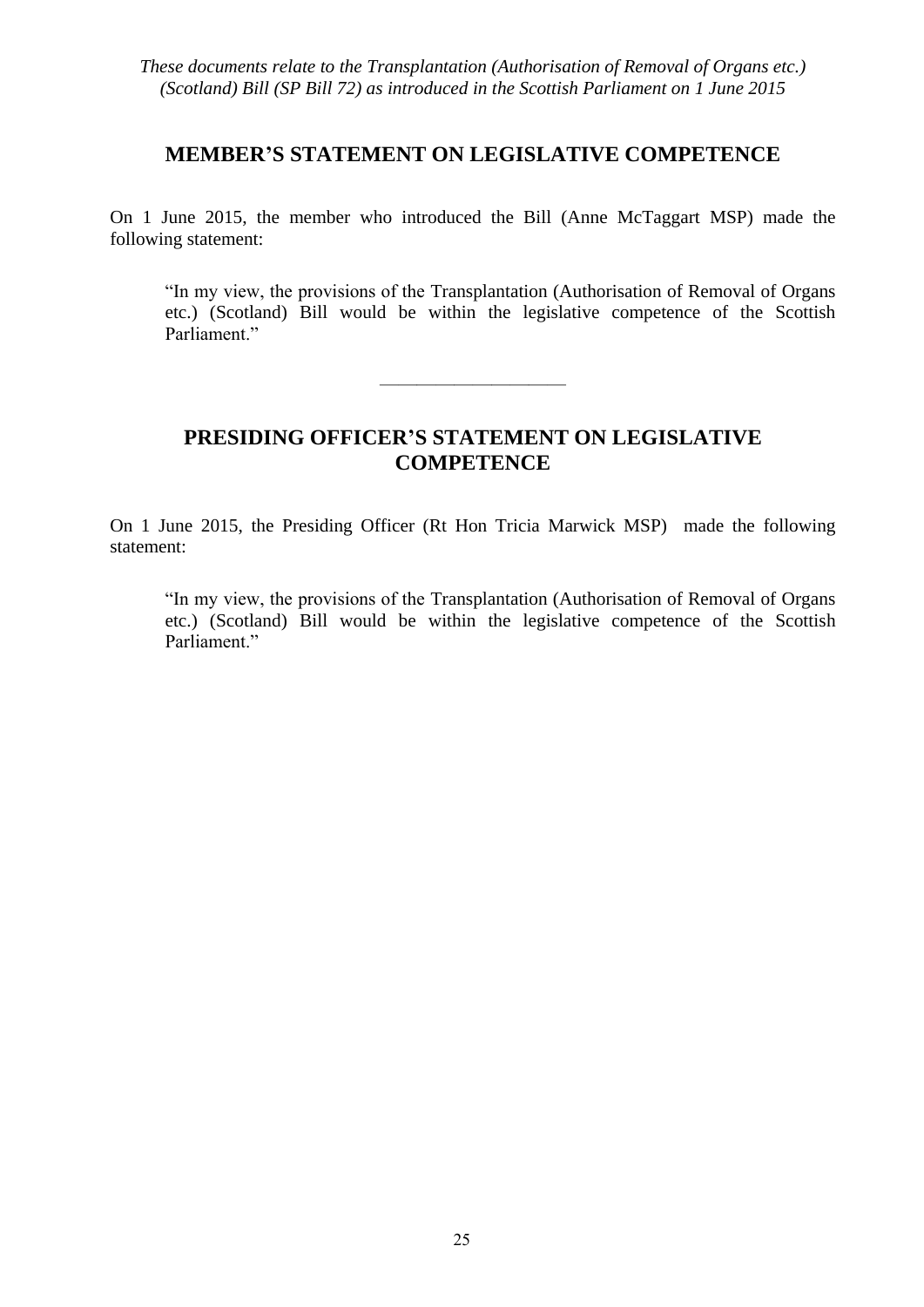## **MEMBER'S STATEMENT ON LEGISLATIVE COMPETENCE**

On 1 June 2015, the member who introduced the Bill (Anne McTaggart MSP) made the following statement:

"In my view, the provisions of the Transplantation (Authorisation of Removal of Organs etc.) (Scotland) Bill would be within the legislative competence of the Scottish Parliament."

# **PRESIDING OFFICER'S STATEMENT ON LEGISLATIVE COMPETENCE**

——————————

On 1 June 2015, the Presiding Officer (Rt Hon Tricia Marwick MSP) made the following statement:

"In my view, the provisions of the Transplantation (Authorisation of Removal of Organs etc.) (Scotland) Bill would be within the legislative competence of the Scottish Parliament."